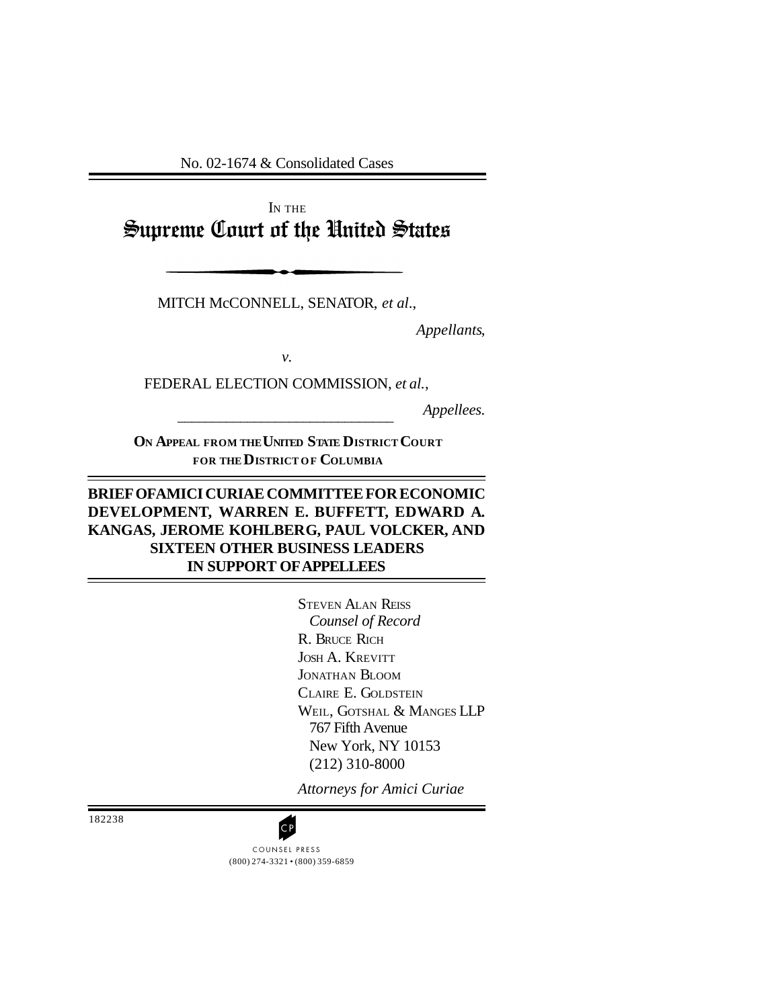No. 02-1674 & Consolidated Cases

IN THE Supreme Court of the United States

MITCH McCONNELL, SENATOR, *et al*.,

*Appellants*,

*v.* 

FEDERAL ELECTION COMMISSION, *et al.*,

*Appellees.* \_\_\_\_\_\_\_\_\_\_\_\_\_\_\_\_\_\_\_\_\_\_\_\_\_\_\_\_\_\_\_

**ON APPEAL FROM THE UNITED STATE DISTRICT COURT FOR THE DISTRICT OF COLUMBIA** 

# **BRIEF OFAMICI CURIAE COMMITTEE FOR ECONOMIC DEVELOPMENT, WARREN E. BUFFETT, EDWARD A. KANGAS, JEROME KOHLBERG, PAUL VOLCKER, AND SIXTEEN OTHER BUSINESS LEADERS IN SUPPORT OFAPPELLEES**

STEVEN ALAN REISS *Counsel of Record*  R. BRUCE RICH JOSH A. KREVITT JONATHAN BLOOM CLAIRE E. GOLDSTEIN WEIL, GOTSHAL & MANGES LLP 767 Fifth Avenue New York, NY 10153 (212) 310-8000

*Attorneys for Amici Curiae* 

182238

(800) 274-3321 • (800) 359-6859 **CP**<br>COUNSEL PRESS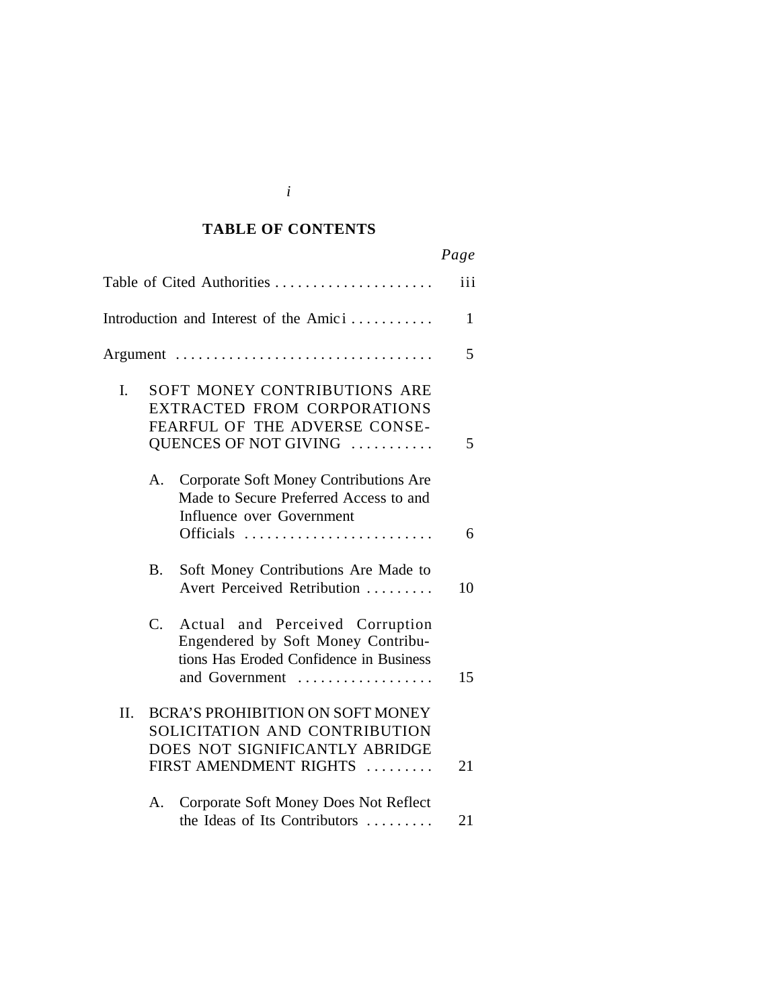# **TABLE OF CONTENTS**

|                                                                                                                                                      | Page |
|------------------------------------------------------------------------------------------------------------------------------------------------------|------|
| Table of Cited Authorities                                                                                                                           | iii  |
| Introduction and Interest of the Amici                                                                                                               | 1    |
| Argument                                                                                                                                             | 5    |
| SOFT MONEY CONTRIBUTIONS ARE<br>L.<br>EXTRACTED FROM CORPORATIONS<br>FEARFUL OF THE ADVERSE CONSE-<br>QUENCES OF NOT GIVING                          | 5    |
| Corporate Soft Money Contributions Are<br>А.<br>Made to Secure Preferred Access to and<br>Influence over Government<br>Officials                     | 6    |
| Soft Money Contributions Are Made to<br>B.<br>Avert Perceived Retribution                                                                            | 10   |
| $C_{\cdot}$<br>and Perceived Corruption<br>Actual<br>Engendered by Soft Money Contribu-<br>tions Has Eroded Confidence in Business<br>and Government | 15   |
| II.<br><b>BCRA'S PROHIBITION ON SOFT MONEY</b><br>SOLICITATION AND CONTRIBUTION<br>DOES NOT SIGNIFICANTLY ABRIDGE<br>FIRST AMENDMENT RIGHTS          | 21   |
| Corporate Soft Money Does Not Reflect<br>A.<br>the Ideas of Its Contributors                                                                         | 21   |

*i*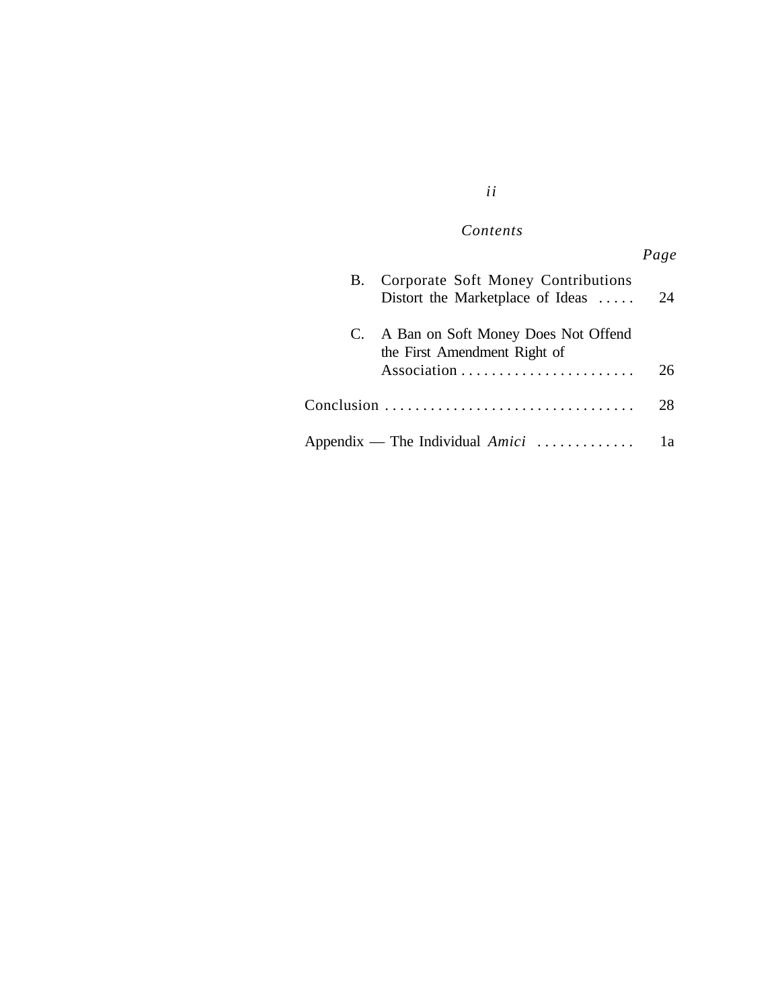# *Contents*

*ii* 

# *Page*

| B. | Corporate Soft Money Contributions<br>Distort the Marketplace of Ideas $\dots$ | 24 |
|----|--------------------------------------------------------------------------------|----|
| C. | A Ban on Soft Money Does Not Offend<br>the First Amendment Right of            |    |
|    |                                                                                | 26 |
|    |                                                                                | 28 |
|    | Appendix — The Individual $Amici$                                              | lа |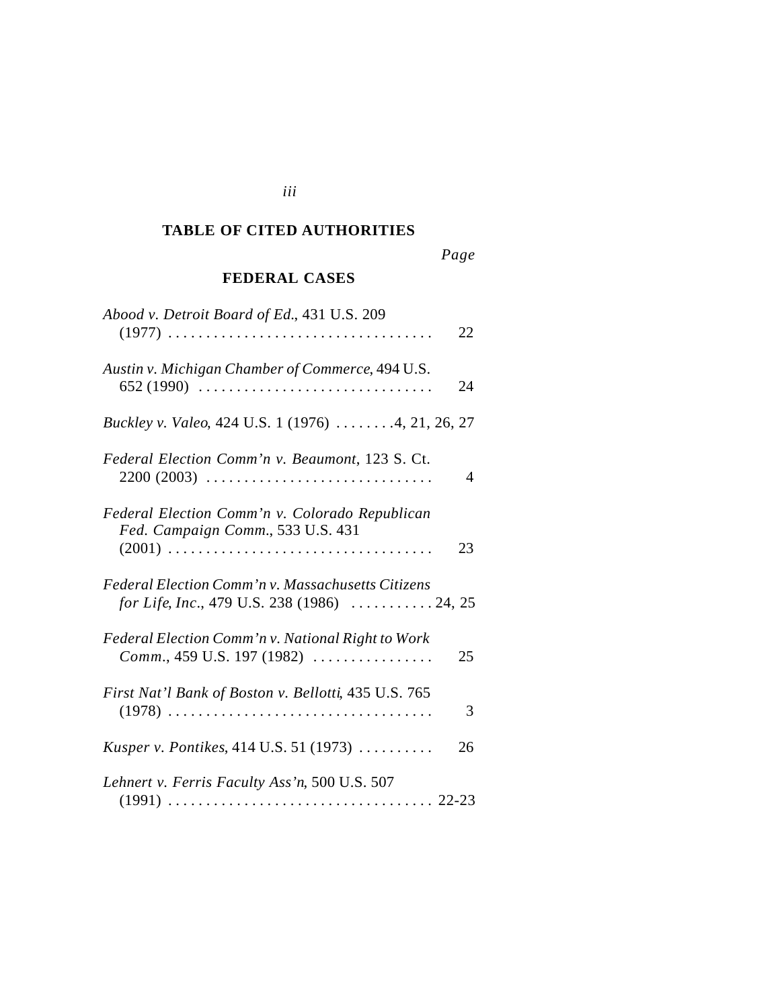# **TABLE OF CITED AUTHORITIES**

# *Page*

# **FEDERAL CASES**

| Abood v. Detroit Board of Ed., 431 U.S. 209                                                                             | 22 |
|-------------------------------------------------------------------------------------------------------------------------|----|
| Austin v. Michigan Chamber of Commerce, 494 U.S.<br>$652(1990)$                                                         | 24 |
| Buckley v. Valeo, 424 U.S. 1 (1976) 4, 21, 26, 27                                                                       |    |
| Federal Election Comm'n v. Beaumont, 123 S. Ct.<br>$2200(2003)$                                                         | 4  |
| Federal Election Comm'n v. Colorado Republican<br>Fed. Campaign Comm., 533 U.S. 431                                     | 23 |
| Federal Election Comm'n v. Massachusetts Citizens<br>for Life, Inc., 479 U.S. 238 (1986) $\ldots \ldots \ldots 24$ , 25 |    |
| Federal Election Comm'n v. National Right to Work<br><i>Comm.</i> , 459 U.S. 197 (1982) $\ldots$                        | 25 |
| First Nat'l Bank of Boston v. Bellotti, 435 U.S. 765                                                                    | 3  |
| <i>Kusper v. Pontikes, 414 U.S. 51 (1973) </i>                                                                          | 26 |
| Lehnert v. Ferris Faculty Ass'n, 500 U.S. 507                                                                           |    |

| ۰.<br>o esta  | ۰.<br>o esta | ۰.<br>o esta |  |
|---------------|--------------|--------------|--|
|               |              | ×,           |  |
| ۰.<br>۰.<br>v | ۰.<br>$\sim$ | ۰.<br>$\sim$ |  |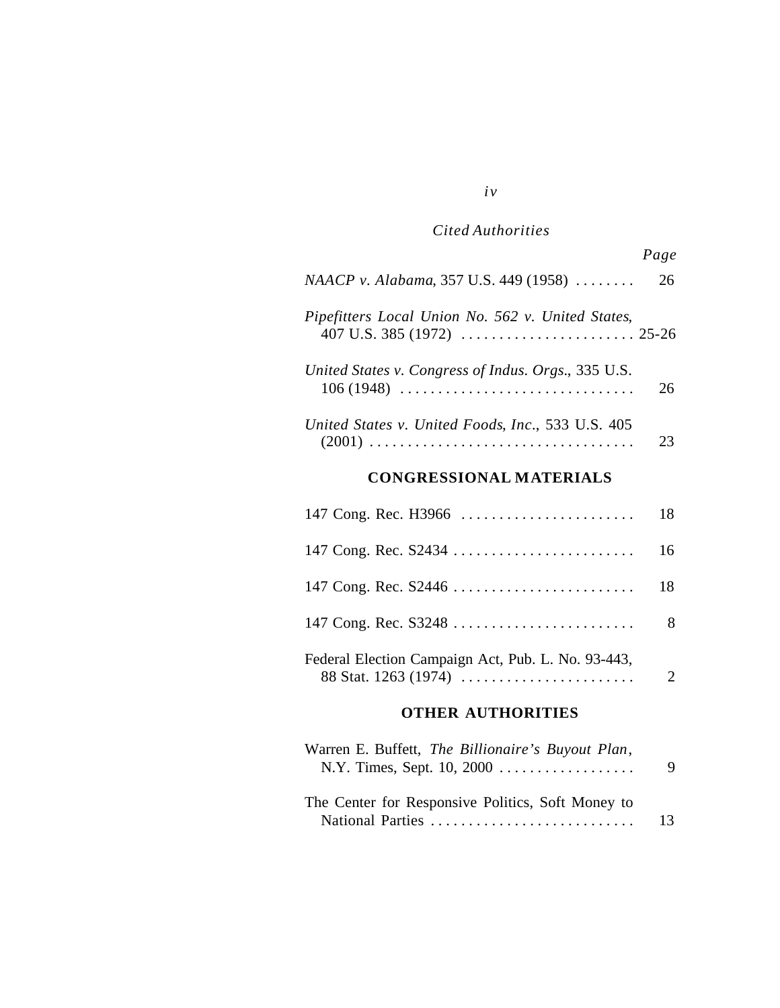# *Cited Authorities*

|                                                                                 | Page           |
|---------------------------------------------------------------------------------|----------------|
| NAACP v. Alabama, 357 U.S. 449 (1958)                                           | 26             |
| Pipefitters Local Union No. 562 v. United States,                               |                |
| United States v. Congress of Indus. Orgs., 335 U.S.<br>$106(1948)$              | 26             |
| United States v. United Foods, Inc., 533 U.S. 405                               | 23             |
| <b>CONGRESSIONAL MATERIALS</b>                                                  |                |
| 147 Cong. Rec. H3966                                                            | 18             |
| 147 Cong. Rec. S2434                                                            | 16             |
| 147 Cong. Rec. S2446                                                            | 18             |
| 147 Cong. Rec. S3248                                                            | 8              |
| Federal Election Campaign Act, Pub. L. No. 93-443,<br>88 Stat. 1263 (1974)      | $\overline{2}$ |
| <b>OTHER AUTHORITIES</b>                                                        |                |
| Warren E. Buffett, The Billionaire's Buyout Plan,<br>N.Y. Times, Sept. 10, 2000 | 9              |
| The Center for Responsive Politics, Soft Money to                               |                |

National Parties . . . . . . . . . . . . . . . . . . . . . . . . . . . 13

#### *iv*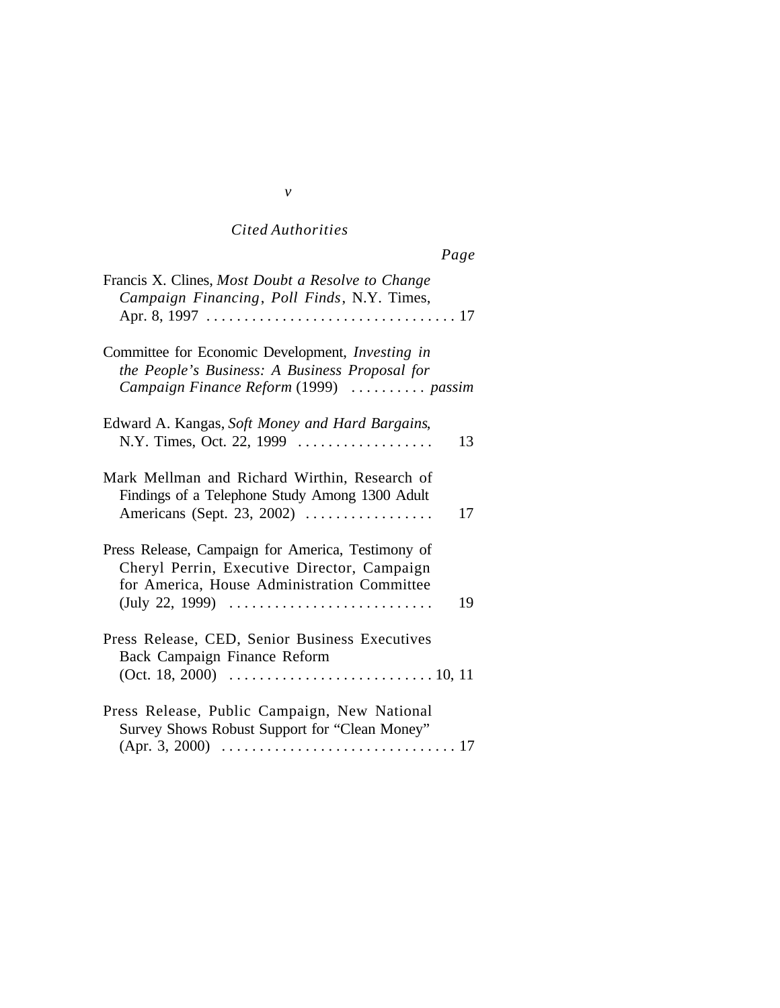# *Cited Authorities*

*Page* 

| Francis X. Clines, Most Doubt a Resolve to Change<br>Campaign Financing, Poll Finds, N.Y. Times,                                                                         |  |
|--------------------------------------------------------------------------------------------------------------------------------------------------------------------------|--|
| Committee for Economic Development, Investing in<br>the People's Business: A Business Proposal for<br>Campaign Finance Reform (1999)  passim                             |  |
| Edward A. Kangas, Soft Money and Hard Bargains,<br>N.Y. Times, Oct. 22, 1999<br>13                                                                                       |  |
| Mark Mellman and Richard Wirthin, Research of<br>Findings of a Telephone Study Among 1300 Adult<br>Americans (Sept. 23, 2002)<br>17                                      |  |
| Press Release, Campaign for America, Testimony of<br>Cheryl Perrin, Executive Director, Campaign<br>for America, House Administration Committee<br>(July 22, 1999)<br>19 |  |
| Press Release, CED, Senior Business Executives<br>Back Campaign Finance Reform                                                                                           |  |
| Press Release, Public Campaign, New National<br>Survey Shows Robust Support for "Clean Money"                                                                            |  |

| ×<br>ł<br>۰, |  |
|--------------|--|
|              |  |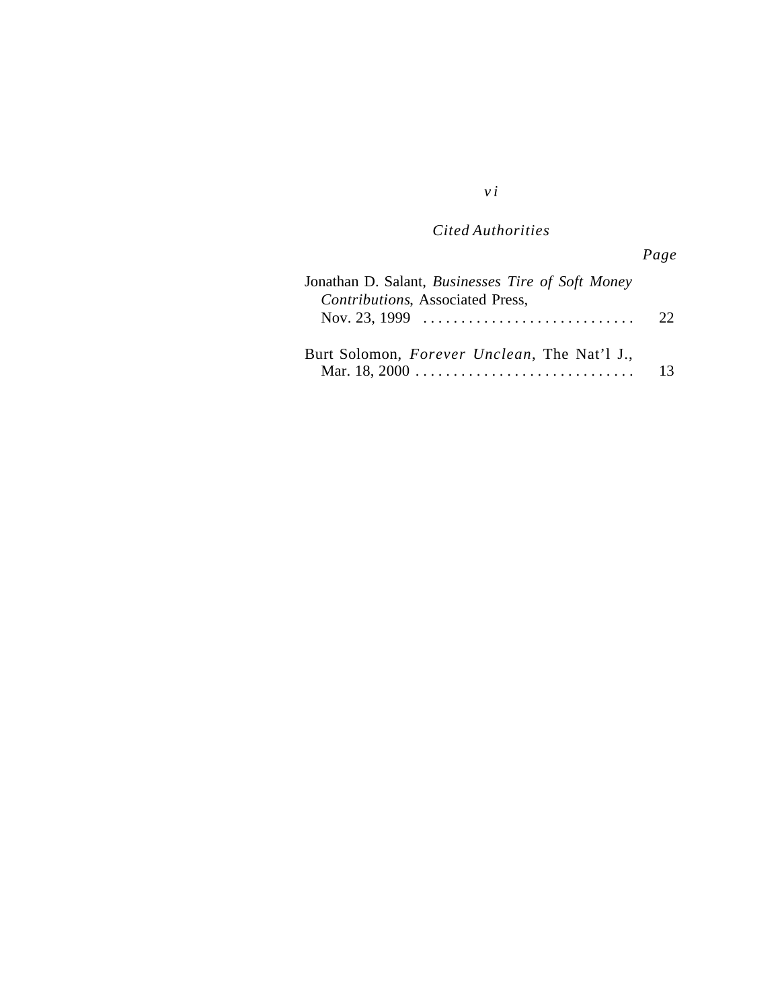*Cited Authorities* 

|                                                                                              | Page |
|----------------------------------------------------------------------------------------------|------|
| Jonathan D. Salant, <i>Businesses Tire of Soft Money</i><br>Contributions, Associated Press, |      |
| Nov. 23, 1999 $\ldots \ldots \ldots \ldots \ldots \ldots \ldots \ldots \ldots$               | 22   |
| Burt Solomon, <i>Forever Unclean</i> , The Nat'l J.,                                         |      |

# *vi*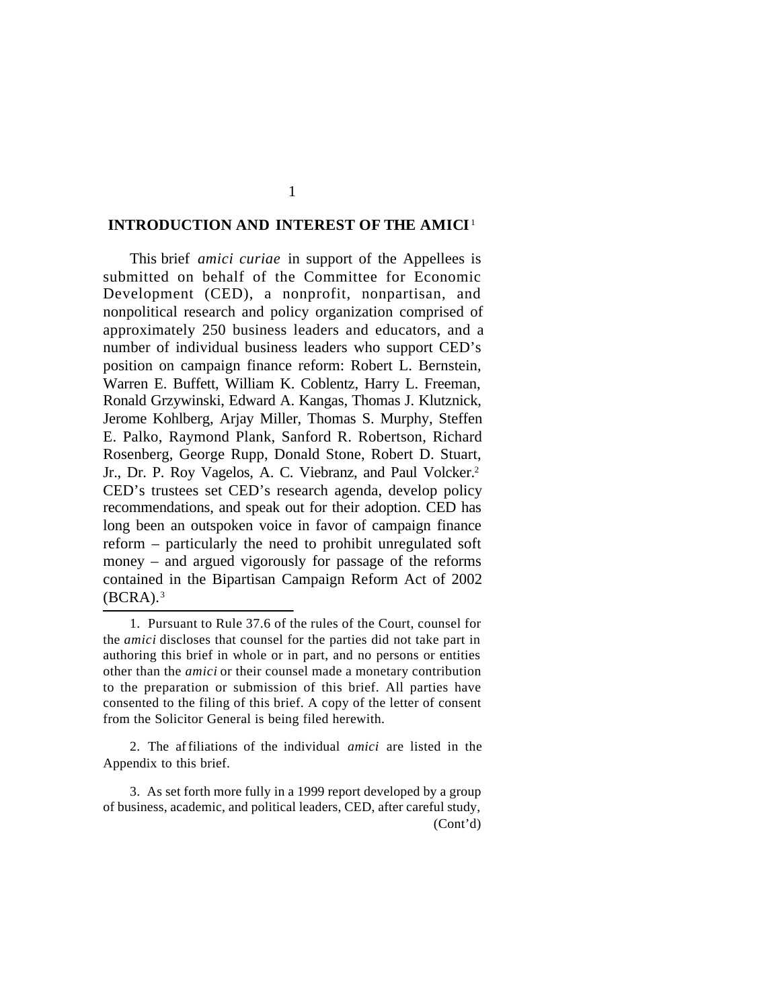#### **INTRODUCTION AND INTEREST OF THE AMICI<sup>1</sup>**

This brief *amici curiae* in support of the Appellees is submitted on behalf of the Committee for Economic Development (CED), a nonprofit, nonpartisan, and nonpolitical research and policy organization comprised of approximately 250 business leaders and educators, and a number of individual business leaders who support CED's position on campaign finance reform: Robert L. Bernstein, Warren E. Buffett, William K. Coblentz, Harry L. Freeman, Ronald Grzywinski, Edward A. Kangas, Thomas J. Klutznick, Jerome Kohlberg, Arjay Miller, Thomas S. Murphy, Steffen E. Palko, Raymond Plank, Sanford R. Robertson, Richard Rosenberg, George Rupp, Donald Stone, Robert D. Stuart, Jr., Dr. P. Roy Vagelos, A. C. Viebranz, and Paul Volcker.<sup>2</sup> CED's trustees set CED's research agenda, develop policy recommendations, and speak out for their adoption. CED has long been an outspoken voice in favor of campaign finance reform – particularly the need to prohibit unregulated soft money – and argued vigorously for passage of the reforms contained in the Bipartisan Campaign Reform Act of 2002  $(BCRA).$ <sup>3</sup>

2. The af filiations of the individual *amici* are listed in the Appendix to this brief.

3. As set forth more fully in a 1999 report developed by a group of business, academic, and political leaders, CED, after careful study, (Cont'd)

<sup>1.</sup> Pursuant to Rule 37.6 of the rules of the Court, counsel for the *amici* discloses that counsel for the parties did not take part in authoring this brief in whole or in part, and no persons or entities other than the *amici* or their counsel made a monetary contribution to the preparation or submission of this brief. All parties have consented to the filing of this brief. A copy of the letter of consent from the Solicitor General is being filed herewith.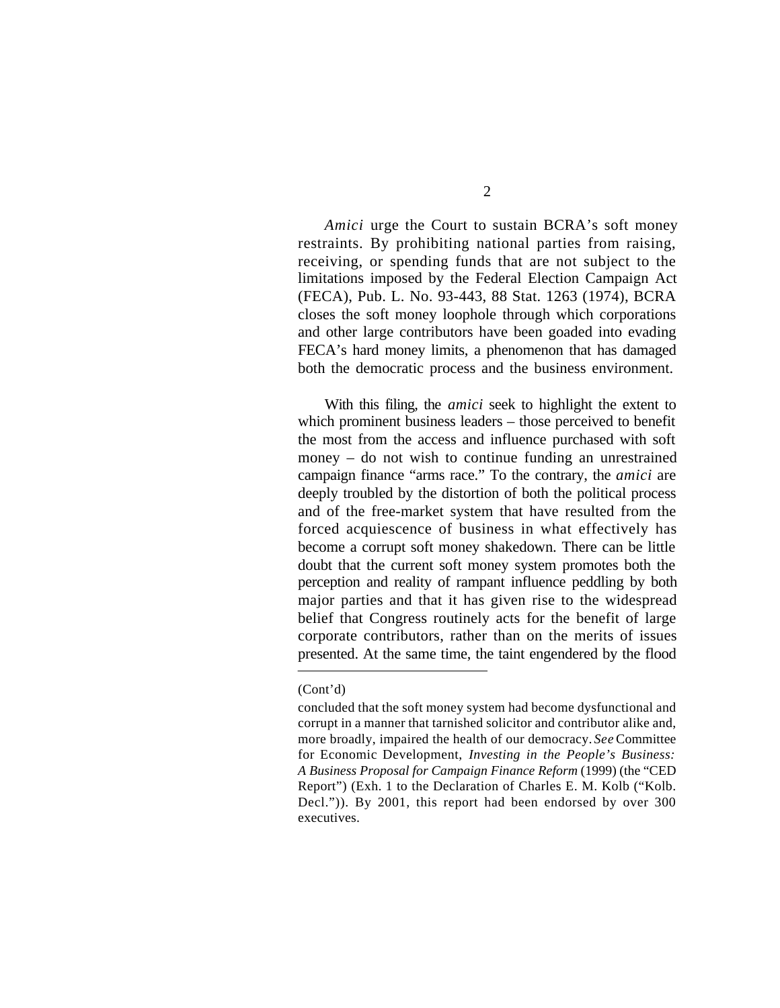*Amici* urge the Court to sustain BCRA's soft money restraints. By prohibiting national parties from raising, receiving, or spending funds that are not subject to the limitations imposed by the Federal Election Campaign Act (FECA), Pub. L. No. 93-443, 88 Stat. 1263 (1974), BCRA closes the soft money loophole through which corporations and other large contributors have been goaded into evading FECA's hard money limits, a phenomenon that has damaged both the democratic process and the business environment.

With this filing, the *amici* seek to highlight the extent to which prominent business leaders – those perceived to benefit the most from the access and influence purchased with soft money – do not wish to continue funding an unrestrained campaign finance "arms race." To the contrary, the *amici* are deeply troubled by the distortion of both the political process and of the free-market system that have resulted from the forced acquiescence of business in what effectively has become a corrupt soft money shakedown. There can be little doubt that the current soft money system promotes both the perception and reality of rampant influence peddling by both major parties and that it has given rise to the widespread belief that Congress routinely acts for the benefit of large corporate contributors, rather than on the merits of issues presented. At the same time, the taint engendered by the flood

#### (Cont'd)

concluded that the soft money system had become dysfunctional and corrupt in a manner that tarnished solicitor and contributor alike and, more broadly, impaired the health of our democracy. *See* Committee for Economic Development, *Investing in the People's Business: A Business Proposal for Campaign Finance Reform* (1999) (the "CED Report") (Exh. 1 to the Declaration of Charles E. M. Kolb ("Kolb. Decl.")). By 2001, this report had been endorsed by over 300 executives.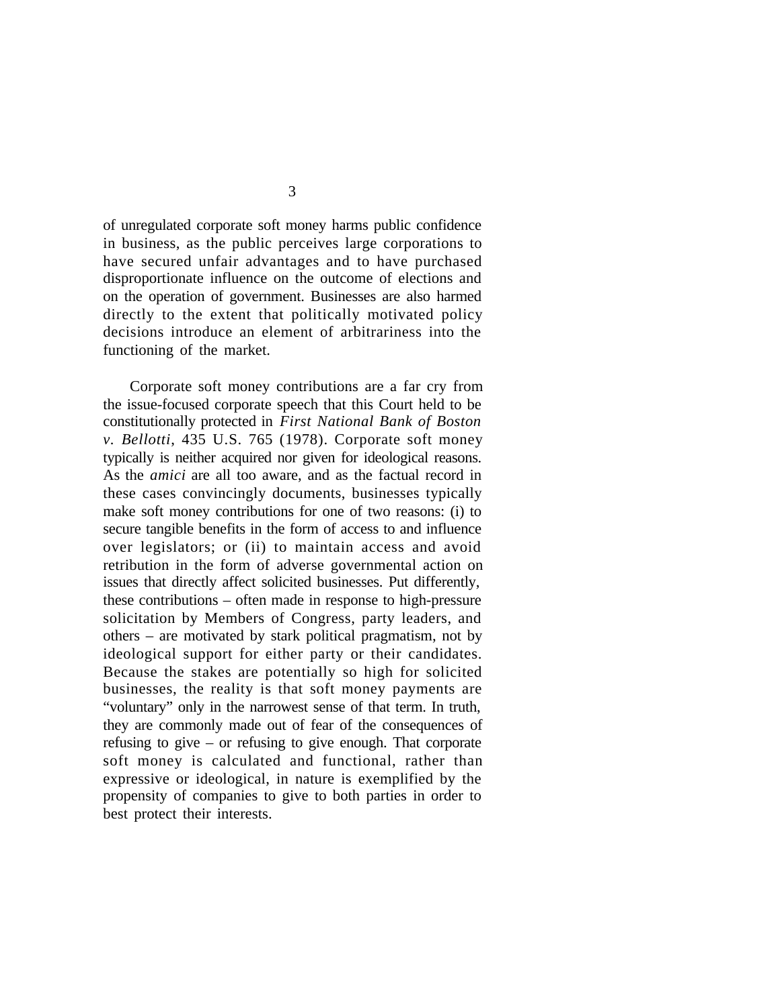of unregulated corporate soft money harms public confidence in business, as the public perceives large corporations to have secured unfair advantages and to have purchased disproportionate influence on the outcome of elections and on the operation of government. Businesses are also harmed directly to the extent that politically motivated policy decisions introduce an element of arbitrariness into the functioning of the market.

Corporate soft money contributions are a far cry from the issue-focused corporate speech that this Court held to be constitutionally protected in *First National Bank of Boston v. Bellotti*, 435 U.S. 765 (1978). Corporate soft money typically is neither acquired nor given for ideological reasons. As the *amici* are all too aware, and as the factual record in these cases convincingly documents, businesses typically make soft money contributions for one of two reasons: (i) to secure tangible benefits in the form of access to and influence over legislators; or (ii) to maintain access and avoid retribution in the form of adverse governmental action on issues that directly affect solicited businesses. Put differently, these contributions – often made in response to high-pressure solicitation by Members of Congress, party leaders, and others – are motivated by stark political pragmatism, not by ideological support for either party or their candidates. Because the stakes are potentially so high for solicited businesses, the reality is that soft money payments are "voluntary" only in the narrowest sense of that term. In truth, they are commonly made out of fear of the consequences of refusing to give – or refusing to give enough. That corporate soft money is calculated and functional, rather than expressive or ideological, in nature is exemplified by the propensity of companies to give to both parties in order to best protect their interests.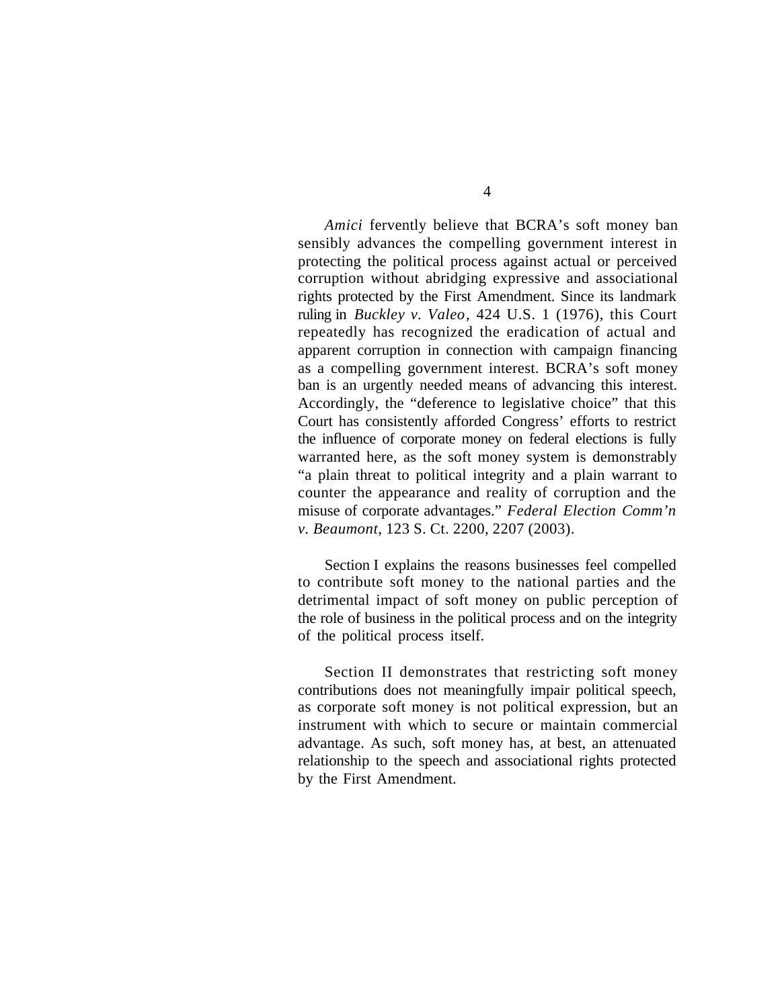*Amici* fervently believe that BCRA's soft money ban sensibly advances the compelling government interest in protecting the political process against actual or perceived corruption without abridging expressive and associational rights protected by the First Amendment. Since its landmark ruling in *Buckley v. Valeo*, 424 U.S. 1 (1976), this Court repeatedly has recognized the eradication of actual and apparent corruption in connection with campaign financing as a compelling government interest. BCRA's soft money ban is an urgently needed means of advancing this interest. Accordingly, the "deference to legislative choice" that this Court has consistently afforded Congress' efforts to restrict the influence of corporate money on federal elections is fully warranted here, as the soft money system is demonstrably "a plain threat to political integrity and a plain warrant to counter the appearance and reality of corruption and the misuse of corporate advantages." *Federal Election Comm'n v. Beaumont*, 123 S. Ct. 2200, 2207 (2003).

Section I explains the reasons businesses feel compelled to contribute soft money to the national parties and the detrimental impact of soft money on public perception of the role of business in the political process and on the integrity of the political process itself.

Section II demonstrates that restricting soft money contributions does not meaningfully impair political speech, as corporate soft money is not political expression, but an instrument with which to secure or maintain commercial advantage. As such, soft money has, at best, an attenuated relationship to the speech and associational rights protected by the First Amendment.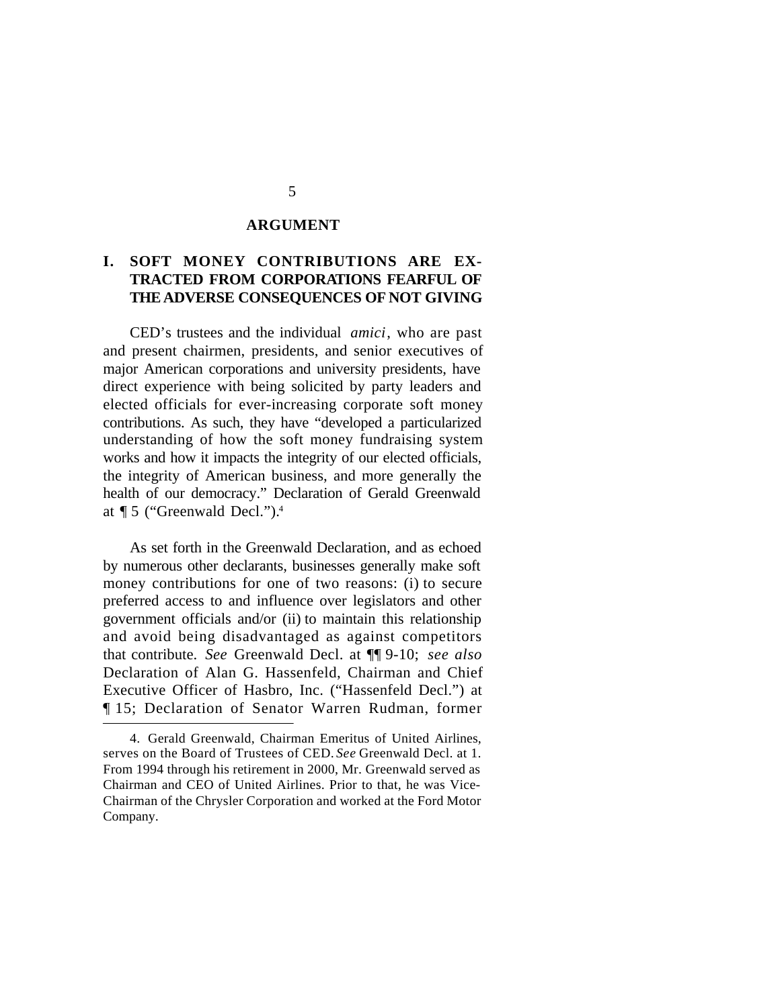#### **ARGUMENT**

# **I. SOFT MONEY CONTRIBUTIONS ARE EX-TRACTED FROM CORPORATIONS FEARFUL OF THE ADVERSE CONSEQUENCES OF NOT GIVING**

CED's trustees and the individual *amici*, who are past and present chairmen, presidents, and senior executives of major American corporations and university presidents, have direct experience with being solicited by party leaders and elected officials for ever-increasing corporate soft money contributions. As such, they have "developed a particularized understanding of how the soft money fundraising system works and how it impacts the integrity of our elected officials, the integrity of American business, and more generally the health of our democracy." Declaration of Gerald Greenwald at ¶ 5 ("Greenwald Decl.").4

As set forth in the Greenwald Declaration, and as echoed by numerous other declarants, businesses generally make soft money contributions for one of two reasons: (i) to secure preferred access to and influence over legislators and other government officials and/or (ii) to maintain this relationship and avoid being disadvantaged as against competitors that contribute. *See* Greenwald Decl. at ¶¶ 9-10; *see also*  Declaration of Alan G. Hassenfeld, Chairman and Chief Executive Officer of Hasbro, Inc. ("Hassenfeld Decl.") at ¶ 15; Declaration of Senator Warren Rudman, former

<sup>4.</sup> Gerald Greenwald, Chairman Emeritus of United Airlines, serves on the Board of Trustees of CED. *See* Greenwald Decl. at 1. From 1994 through his retirement in 2000, Mr. Greenwald served as Chairman and CEO of United Airlines. Prior to that, he was Vice-Chairman of the Chrysler Corporation and worked at the Ford Motor Company.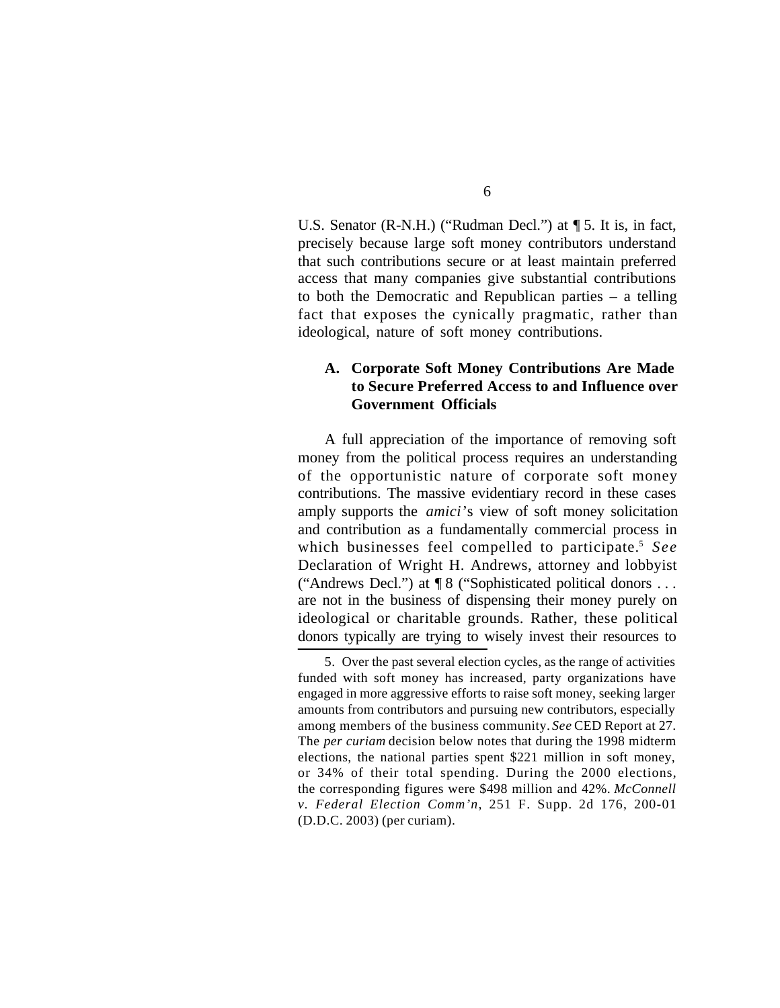U.S. Senator (R-N.H.) ("Rudman Decl.") at ¶ 5. It is, in fact, precisely because large soft money contributors understand that such contributions secure or at least maintain preferred access that many companies give substantial contributions to both the Democratic and Republican parties – a telling fact that exposes the cynically pragmatic, rather than ideological, nature of soft money contributions.

#### **A. Corporate Soft Money Contributions Are Made to Secure Preferred Access to and Influence over Government Officials**

A full appreciation of the importance of removing soft money from the political process requires an understanding of the opportunistic nature of corporate soft money contributions. The massive evidentiary record in these cases amply supports the *amici*'s view of soft money solicitation and contribution as a fundamentally commercial process in which businesses feel compelled to participate.5 *See*  Declaration of Wright H. Andrews, attorney and lobbyist ("Andrews Decl.") at ¶ 8 ("Sophisticated political donors . . . are not in the business of dispensing their money purely on ideological or charitable grounds. Rather, these political donors typically are trying to wisely invest their resources to

<sup>5.</sup> Over the past several election cycles, as the range of activities funded with soft money has increased, party organizations have engaged in more aggressive efforts to raise soft money, seeking larger amounts from contributors and pursuing new contributors, especially among members of the business community. *See* CED Report at 27. The *per curiam* decision below notes that during the 1998 midterm elections, the national parties spent \$221 million in soft money, or 34% of their total spending. During the 2000 elections, the corresponding figures were \$498 million and 42%. *McConnell v. Federal Election Comm'n*, 251 F. Supp. 2d 176, 200-01 (D.D.C. 2003) (per curiam).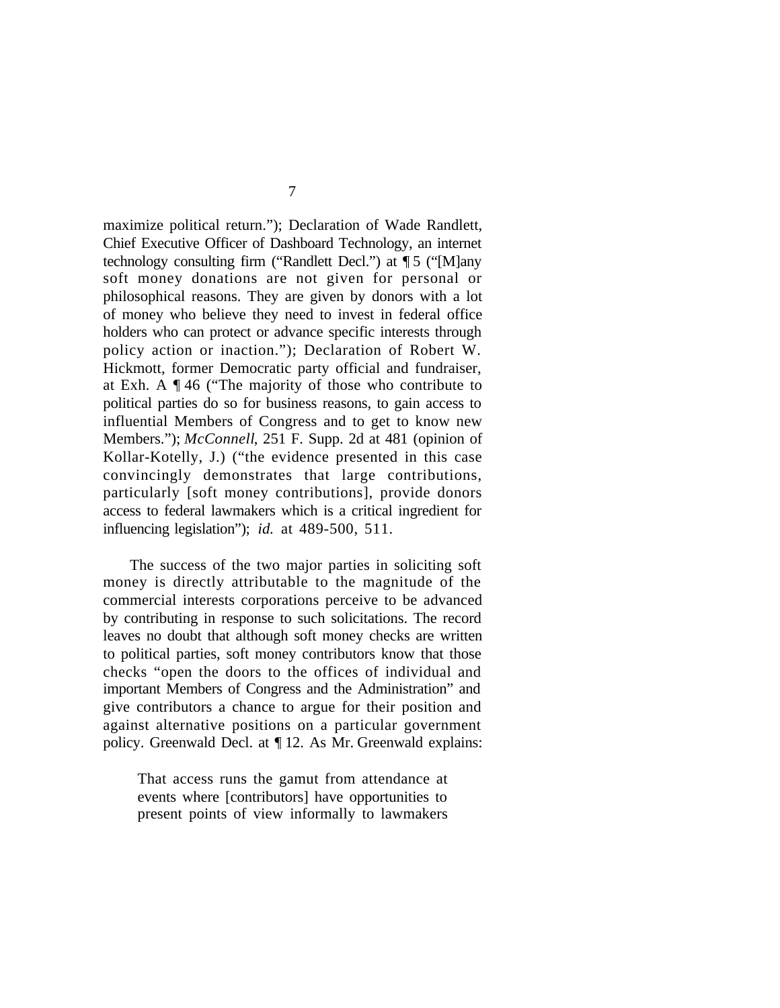maximize political return."); Declaration of Wade Randlett, Chief Executive Officer of Dashboard Technology, an internet technology consulting firm ("Randlett Decl.") at ¶ 5 ("[M]any soft money donations are not given for personal or philosophical reasons. They are given by donors with a lot of money who believe they need to invest in federal office holders who can protect or advance specific interests through policy action or inaction."); Declaration of Robert W. Hickmott, former Democratic party official and fundraiser, at Exh. A ¶ 46 ("The majority of those who contribute to political parties do so for business reasons, to gain access to influential Members of Congress and to get to know new Members."); *McConnell*, 251 F. Supp. 2d at 481 (opinion of Kollar-Kotelly, J.) ("the evidence presented in this case convincingly demonstrates that large contributions, particularly [soft money contributions], provide donors access to federal lawmakers which is a critical ingredient for influencing legislation"); *id.* at 489-500, 511.

The success of the two major parties in soliciting soft money is directly attributable to the magnitude of the commercial interests corporations perceive to be advanced by contributing in response to such solicitations. The record leaves no doubt that although soft money checks are written to political parties, soft money contributors know that those checks "open the doors to the offices of individual and important Members of Congress and the Administration" and give contributors a chance to argue for their position and against alternative positions on a particular government policy. Greenwald Decl. at ¶ 12. As Mr. Greenwald explains:

That access runs the gamut from attendance at events where [contributors] have opportunities to present points of view informally to lawmakers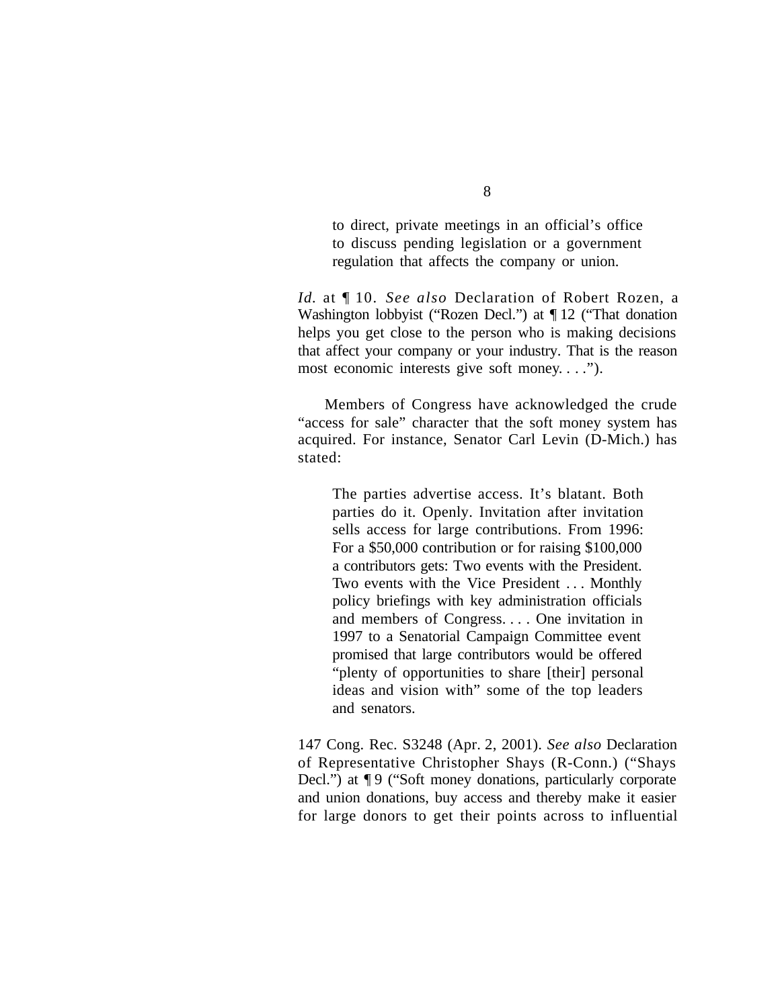to direct, private meetings in an official's office to discuss pending legislation or a government regulation that affects the company or union.

*Id.* at ¶ 10. *See also* Declaration of Robert Rozen, a Washington lobbyist ("Rozen Decl.") at ¶ 12 ("That donation helps you get close to the person who is making decisions that affect your company or your industry. That is the reason most economic interests give soft money....").

Members of Congress have acknowledged the crude "access for sale" character that the soft money system has acquired. For instance, Senator Carl Levin (D-Mich.) has stated:

The parties advertise access. It's blatant. Both parties do it. Openly. Invitation after invitation sells access for large contributions. From 1996: For a \$50,000 contribution or for raising \$100,000 a contributors gets: Two events with the President. Two events with the Vice President . . . Monthly policy briefings with key administration officials and members of Congress. . . . One invitation in 1997 to a Senatorial Campaign Committee event promised that large contributors would be offered "plenty of opportunities to share [their] personal ideas and vision with" some of the top leaders and senators.

147 Cong. Rec. S3248 (Apr. 2, 2001). *See also* Declaration of Representative Christopher Shays (R-Conn.) ("Shays Decl.") at  $\P$ 9 ("Soft money donations, particularly corporate and union donations, buy access and thereby make it easier for large donors to get their points across to influential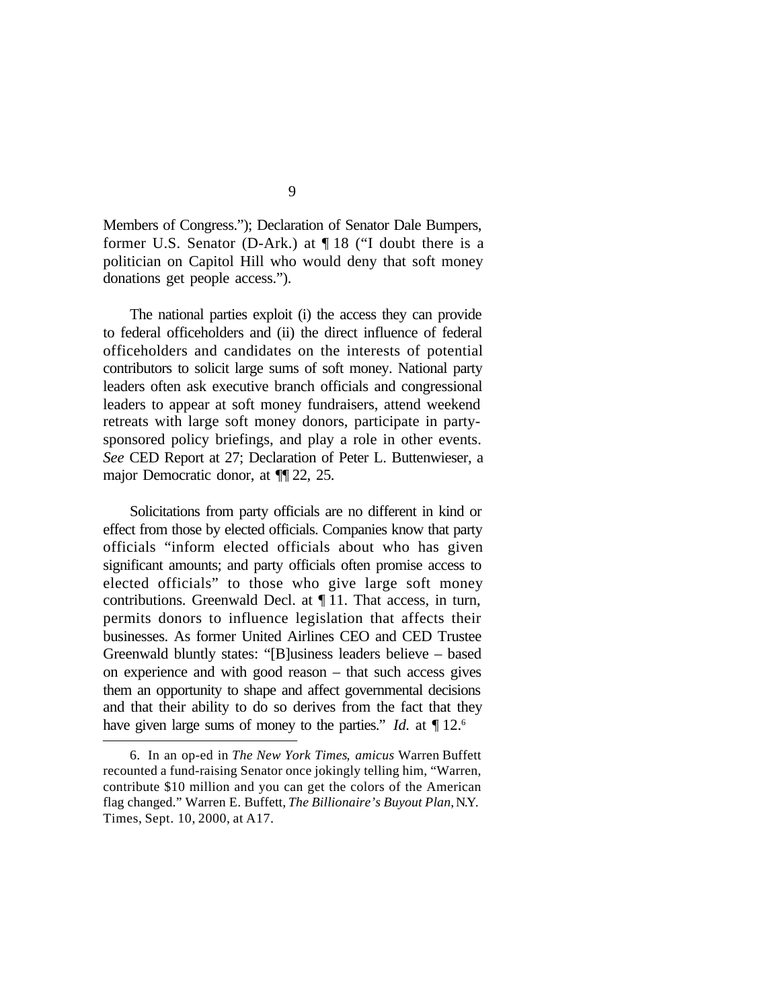Members of Congress."); Declaration of Senator Dale Bumpers, former U.S. Senator (D-Ark.) at ¶ 18 ("I doubt there is a politician on Capitol Hill who would deny that soft money donations get people access.").

The national parties exploit (i) the access they can provide to federal officeholders and (ii) the direct influence of federal officeholders and candidates on the interests of potential contributors to solicit large sums of soft money. National party leaders often ask executive branch officials and congressional leaders to appear at soft money fundraisers, attend weekend retreats with large soft money donors, participate in partysponsored policy briefings, and play a role in other events. *See* CED Report at 27; Declaration of Peter L. Buttenwieser, a major Democratic donor, at ¶¶ 22, 25.

Solicitations from party officials are no different in kind or effect from those by elected officials. Companies know that party officials "inform elected officials about who has given significant amounts; and party officials often promise access to elected officials" to those who give large soft money contributions. Greenwald Decl. at ¶ 11. That access, in turn, permits donors to influence legislation that affects their businesses. As former United Airlines CEO and CED Trustee Greenwald bluntly states: "[B]usiness leaders believe – based on experience and with good reason – that such access gives them an opportunity to shape and affect governmental decisions and that their ability to do so derives from the fact that they have given large sums of money to the parties." *Id.* at  $\P$  12.<sup>6</sup>

<sup>6.</sup> In an op-ed in *The New York Times*, *amicus* Warren Buffett recounted a fund-raising Senator once jokingly telling him, "Warren, contribute \$10 million and you can get the colors of the American flag changed." Warren E. Buffett, *The Billionaire's Buyout Plan*, N.Y. Times, Sept. 10, 2000, at A17.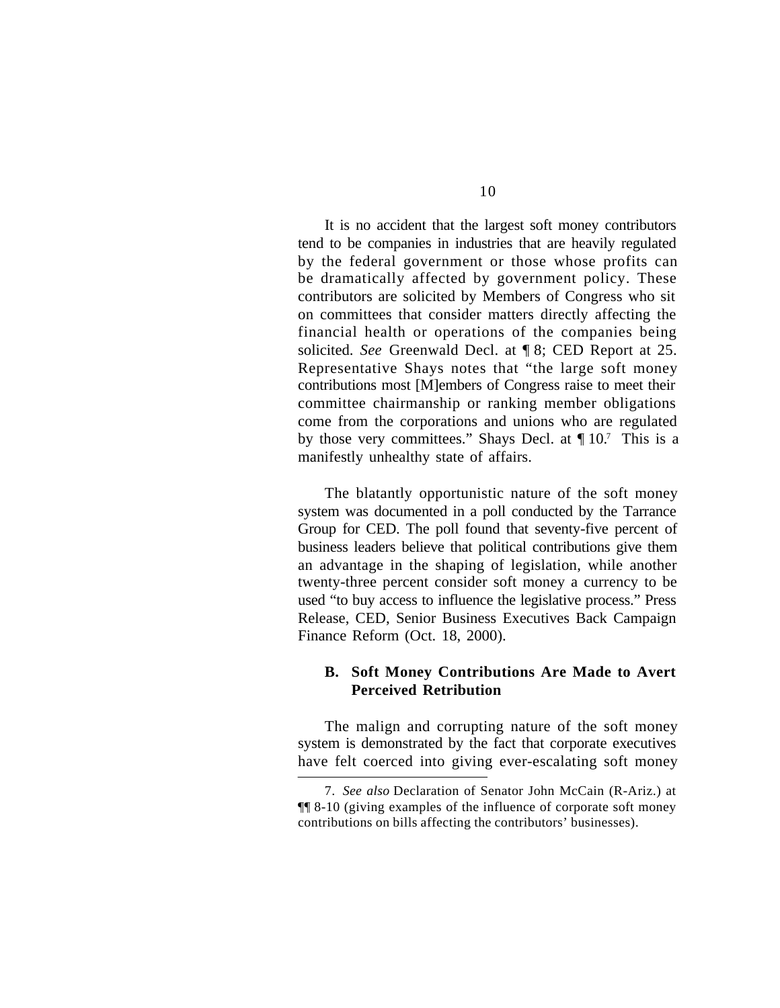It is no accident that the largest soft money contributors tend to be companies in industries that are heavily regulated by the federal government or those whose profits can be dramatically affected by government policy. These contributors are solicited by Members of Congress who sit on committees that consider matters directly affecting the financial health or operations of the companies being solicited. *See* Greenwald Decl. at ¶ 8; CED Report at 25. Representative Shays notes that "the large soft money contributions most [M]embers of Congress raise to meet their committee chairmanship or ranking member obligations come from the corporations and unions who are regulated by those very committees." Shays Decl. at  $\P$  10.7 This is a manifestly unhealthy state of affairs.

The blatantly opportunistic nature of the soft money system was documented in a poll conducted by the Tarrance Group for CED. The poll found that seventy-five percent of business leaders believe that political contributions give them an advantage in the shaping of legislation, while another twenty-three percent consider soft money a currency to be used "to buy access to influence the legislative process." Press Release, CED, Senior Business Executives Back Campaign Finance Reform (Oct. 18, 2000).

#### **B. Soft Money Contributions Are Made to Avert Perceived Retribution**

The malign and corrupting nature of the soft money system is demonstrated by the fact that corporate executives have felt coerced into giving ever-escalating soft money

<sup>7.</sup> *See also* Declaration of Senator John McCain (R-Ariz.) at ¶¶ 8-10 (giving examples of the influence of corporate soft money contributions on bills affecting the contributors' businesses).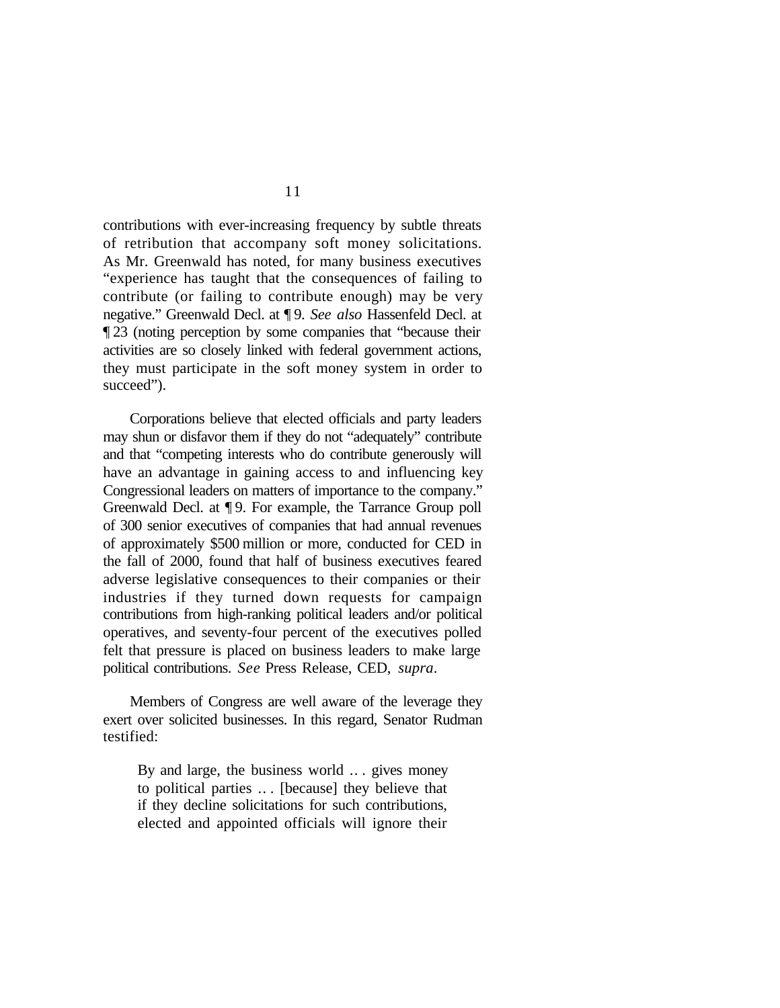contributions with ever-increasing frequency by subtle threats of retribution that accompany soft money solicitations. As Mr. Greenwald has noted, for many business executives "experience has taught that the consequences of failing to contribute (or failing to contribute enough) may be very negative." Greenwald Decl. at ¶ 9. *See also* Hassenfeld Decl. at ¶ 23 (noting perception by some companies that "because their activities are so closely linked with federal government actions, they must participate in the soft money system in order to succeed").

Corporations believe that elected officials and party leaders may shun or disfavor them if they do not "adequately" contribute and that "competing interests who do contribute generously will have an advantage in gaining access to and influencing key Congressional leaders on matters of importance to the company." Greenwald Decl. at ¶ 9. For example, the Tarrance Group poll of 300 senior executives of companies that had annual revenues of approximately \$500 million or more, conducted for CED in the fall of 2000, found that half of business executives feared adverse legislative consequences to their companies or their industries if they turned down requests for campaign contributions from high-ranking political leaders and/or political operatives, and seventy-four percent of the executives polled felt that pressure is placed on business leaders to make large political contributions. *See* Press Release, CED, *supra*.

Members of Congress are well aware of the leverage they exert over solicited businesses. In this regard, Senator Rudman testified:

By and large, the business world .. . gives money to political parties .. . [because] they believe that if they decline solicitations for such contributions, elected and appointed officials will ignore their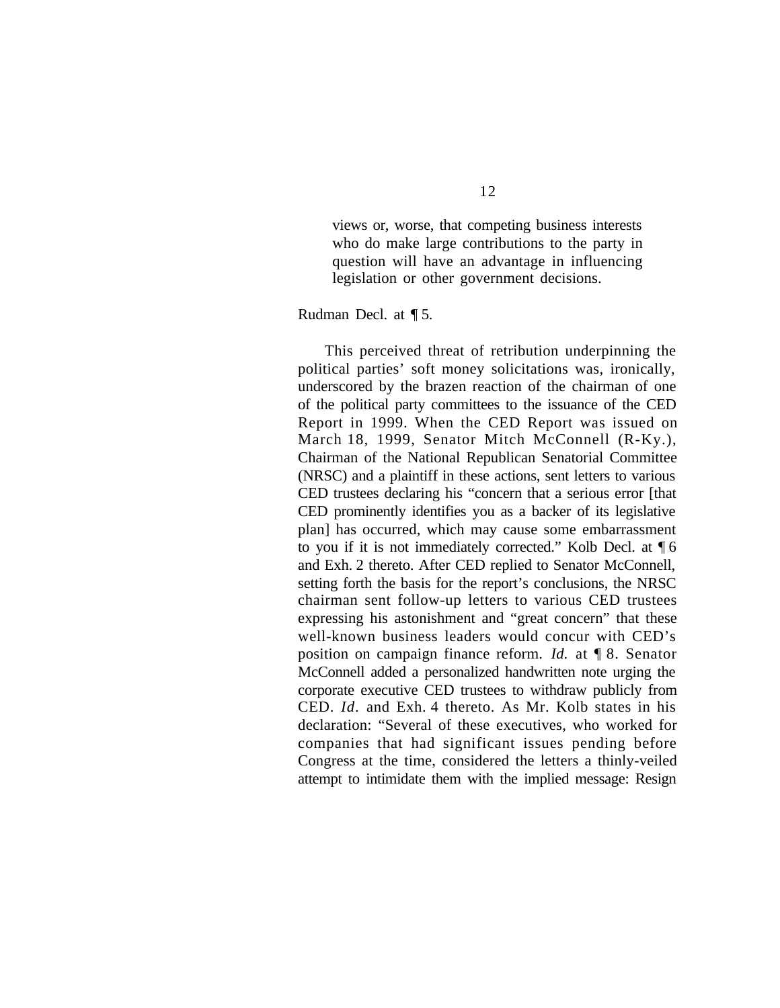views or, worse, that competing business interests who do make large contributions to the party in question will have an advantage in influencing legislation or other government decisions.

Rudman Decl. at ¶ 5.

This perceived threat of retribution underpinning the political parties' soft money solicitations was, ironically, underscored by the brazen reaction of the chairman of one of the political party committees to the issuance of the CED Report in 1999. When the CED Report was issued on March 18, 1999, Senator Mitch McConnell (R-Ky.), Chairman of the National Republican Senatorial Committee (NRSC) and a plaintiff in these actions, sent letters to various CED trustees declaring his "concern that a serious error [that CED prominently identifies you as a backer of its legislative plan] has occurred, which may cause some embarrassment to you if it is not immediately corrected." Kolb Decl. at ¶ 6 and Exh. 2 thereto. After CED replied to Senator McConnell, setting forth the basis for the report's conclusions, the NRSC chairman sent follow-up letters to various CED trustees expressing his astonishment and "great concern" that these well-known business leaders would concur with CED's position on campaign finance reform. *Id.* at ¶ 8. Senator McConnell added a personalized handwritten note urging the corporate executive CED trustees to withdraw publicly from CED. *Id.* and Exh. 4 thereto. As Mr. Kolb states in his declaration: "Several of these executives, who worked for companies that had significant issues pending before Congress at the time, considered the letters a thinly-veiled attempt to intimidate them with the implied message: Resign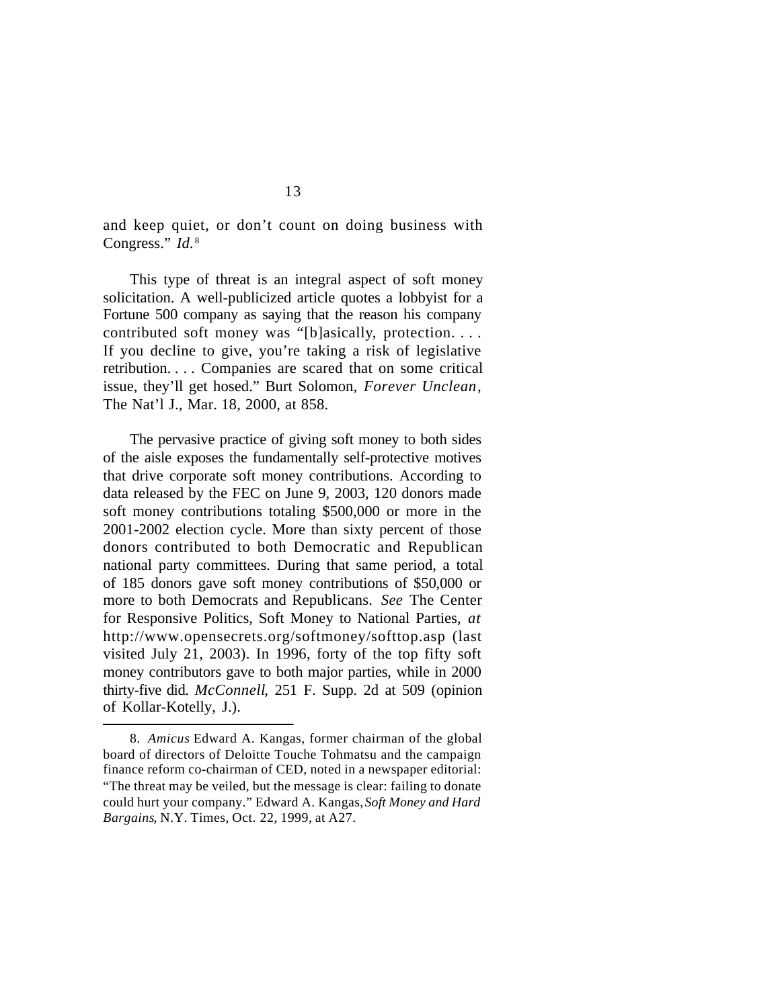and keep quiet, or don't count on doing business with Congress." *Id.* <sup>8</sup>

This type of threat is an integral aspect of soft money solicitation. A well-publicized article quotes a lobbyist for a Fortune 500 company as saying that the reason his company contributed soft money was "[b]asically, protection. . . . If you decline to give, you're taking a risk of legislative retribution. . . . Companies are scared that on some critical issue, they'll get hosed." Burt Solomon, *Forever Unclean* , The Nat'l J., Mar. 18, 2000, at 858.

The pervasive practice of giving soft money to both sides of the aisle exposes the fundamentally self-protective motives that drive corporate soft money contributions. According to data released by the FEC on June 9, 2003, 120 donors made soft money contributions totaling \$500,000 or more in the 2001-2002 election cycle. More than sixty percent of those donors contributed to both Democratic and Republican national party committees. During that same period, a total of 185 donors gave soft money contributions of \$50,000 or more to both Democrats and Republicans. *See* The Center for Responsive Politics, Soft Money to National Parties, *at*  http://www.opensecrets.org/softmoney/softtop.asp (last visited July 21, 2003). In 1996, forty of the top fifty soft money contributors gave to both major parties, while in 2000 thirty-five did. *McConnell*, 251 F. Supp. 2d at 509 (opinion of Kollar-Kotelly, J.).

<sup>8.</sup> *Amicus* Edward A. Kangas, former chairman of the global board of directors of Deloitte Touche Tohmatsu and the campaign finance reform co-chairman of CED, noted in a newspaper editorial: "The threat may be veiled, but the message is clear: failing to donate could hurt your company." Edward A. Kangas, *Soft Money and Hard Bargains*, N.Y. Times, Oct. 22, 1999, at A27.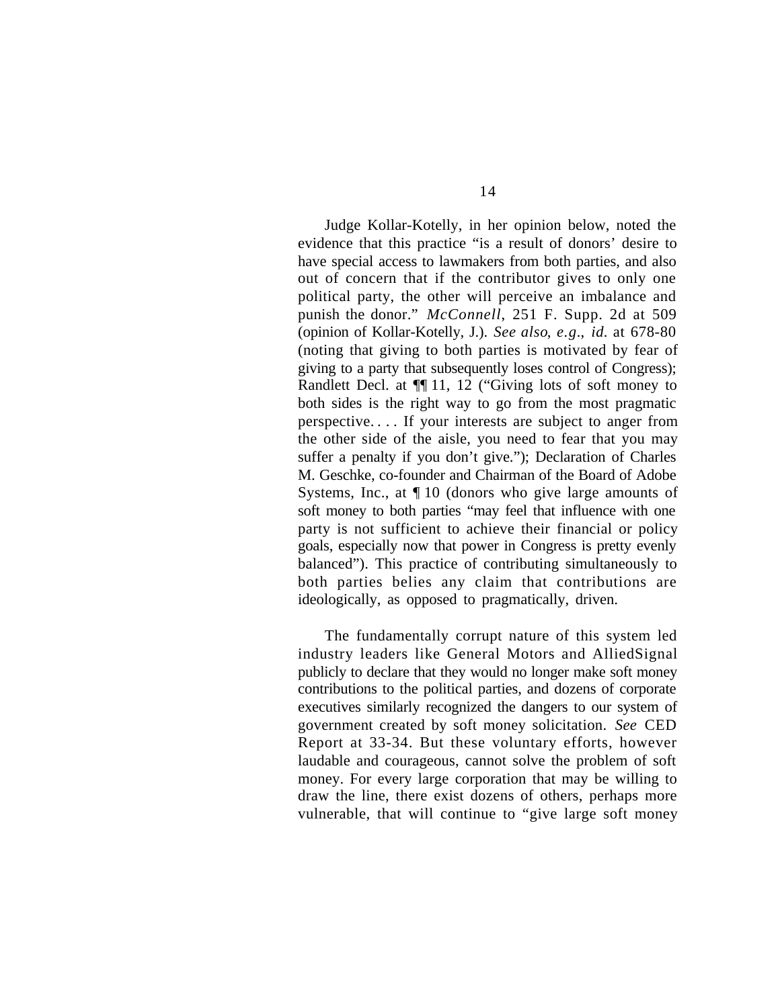Judge Kollar-Kotelly, in her opinion below, noted the evidence that this practice "is a result of donors' desire to have special access to lawmakers from both parties, and also out of concern that if the contributor gives to only one political party, the other will perceive an imbalance and punish the donor." *McConnell*, 251 F. Supp. 2d at 509 (opinion of Kollar-Kotelly, J.). *See also*, *e.g.*, *id.* at 678-80 (noting that giving to both parties is motivated by fear of giving to a party that subsequently loses control of Congress); Randlett Decl. at ¶¶ 11, 12 ("Giving lots of soft money to both sides is the right way to go from the most pragmatic perspective. . . . If your interests are subject to anger from the other side of the aisle, you need to fear that you may suffer a penalty if you don't give."); Declaration of Charles M. Geschke, co-founder and Chairman of the Board of Adobe Systems, Inc., at ¶ 10 (donors who give large amounts of soft money to both parties "may feel that influence with one party is not sufficient to achieve their financial or policy goals, especially now that power in Congress is pretty evenly balanced"). This practice of contributing simultaneously to both parties belies any claim that contributions are ideologically, as opposed to pragmatically, driven.

The fundamentally corrupt nature of this system led industry leaders like General Motors and AlliedSignal publicly to declare that they would no longer make soft money contributions to the political parties, and dozens of corporate executives similarly recognized the dangers to our system of government created by soft money solicitation. *See* CED Report at 33-34. But these voluntary efforts, however laudable and courageous, cannot solve the problem of soft money. For every large corporation that may be willing to draw the line, there exist dozens of others, perhaps more vulnerable, that will continue to "give large soft money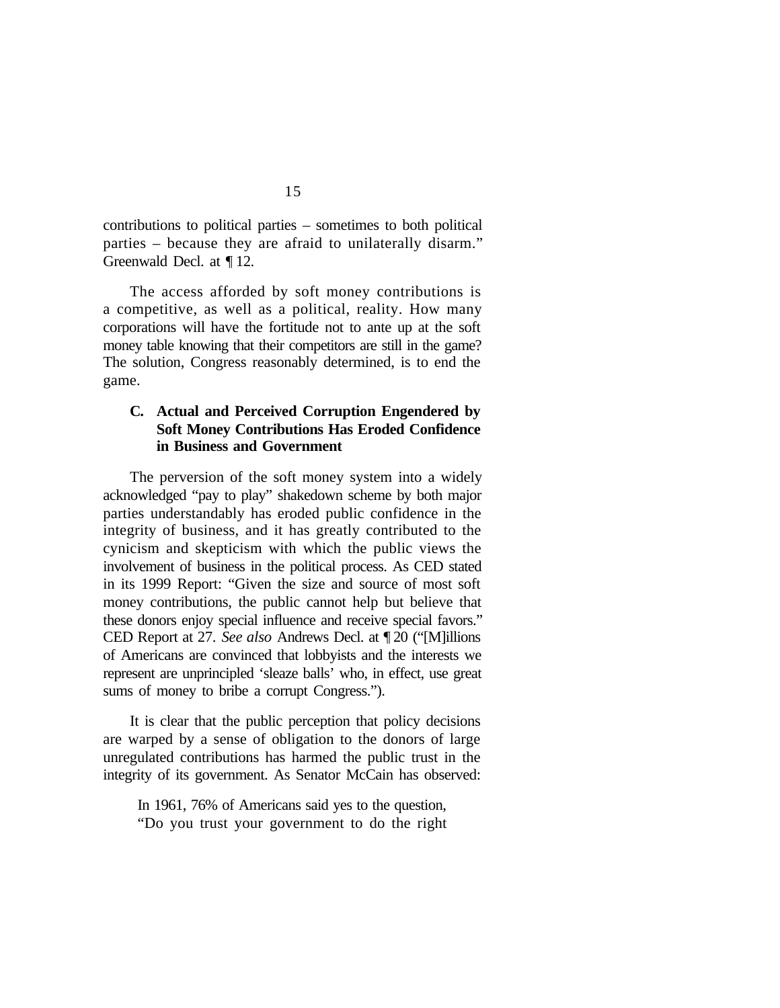contributions to political parties – sometimes to both political parties – because they are afraid to unilaterally disarm." Greenwald Decl. at ¶ 12.

The access afforded by soft money contributions is a competitive, as well as a political, reality. How many corporations will have the fortitude not to ante up at the soft money table knowing that their competitors are still in the game? The solution, Congress reasonably determined, is to end the game.

#### **C. Actual and Perceived Corruption Engendered by Soft Money Contributions Has Eroded Confidence in Business and Government**

The perversion of the soft money system into a widely acknowledged "pay to play" shakedown scheme by both major parties understandably has eroded public confidence in the integrity of business, and it has greatly contributed to the cynicism and skepticism with which the public views the involvement of business in the political process. As CED stated in its 1999 Report: "Given the size and source of most soft money contributions, the public cannot help but believe that these donors enjoy special influence and receive special favors." CED Report at 27. *See also* Andrews Decl. at ¶ 20 ("[M]illions of Americans are convinced that lobbyists and the interests we represent are unprincipled 'sleaze balls' who, in effect, use great sums of money to bribe a corrupt Congress.").

It is clear that the public perception that policy decisions are warped by a sense of obligation to the donors of large unregulated contributions has harmed the public trust in the integrity of its government. As Senator McCain has observed:

In 1961, 76% of Americans said yes to the question, "Do you trust your government to do the right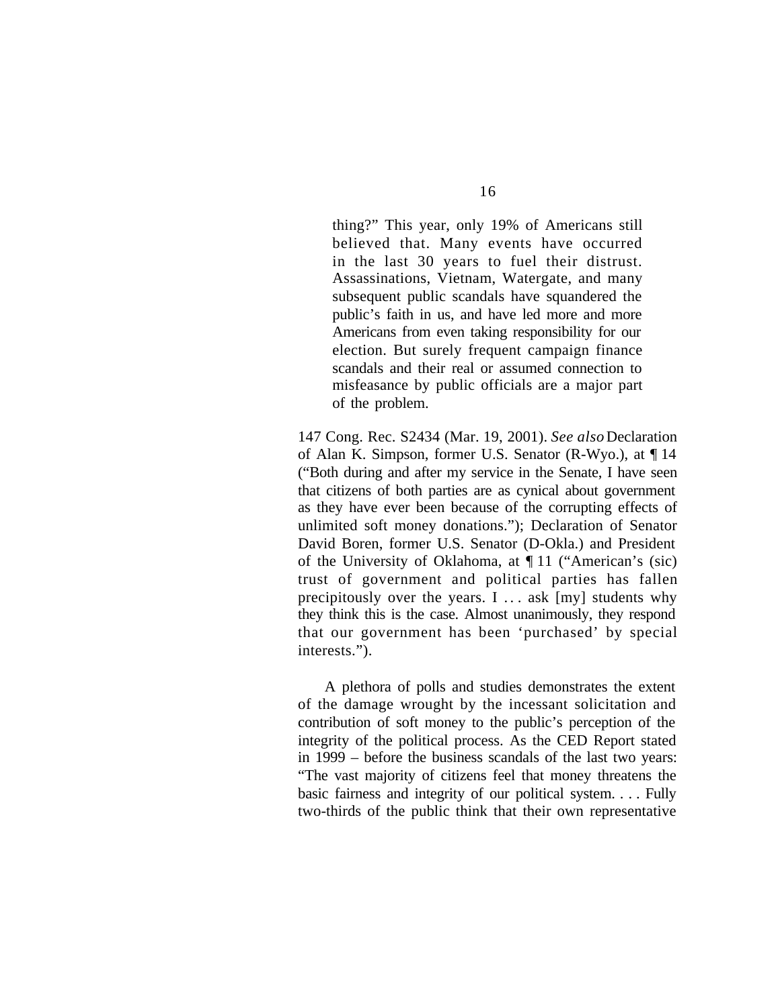thing?" This year, only 19% of Americans still believed that. Many events have occurred in the last 30 years to fuel their distrust. Assassinations, Vietnam, Watergate, and many subsequent public scandals have squandered the public's faith in us, and have led more and more Americans from even taking responsibility for our election. But surely frequent campaign finance scandals and their real or assumed connection to misfeasance by public officials are a major part of the problem.

147 Cong. Rec. S2434 (Mar. 19, 2001). *See also* Declaration of Alan K. Simpson, former U.S. Senator (R-Wyo.), at ¶ 14 ("Both during and after my service in the Senate, I have seen that citizens of both parties are as cynical about government as they have ever been because of the corrupting effects of unlimited soft money donations."); Declaration of Senator David Boren, former U.S. Senator (D-Okla.) and President of the University of Oklahoma, at ¶ 11 ("American's (sic) trust of government and political parties has fallen precipitously over the years. I  $\ldots$  ask [my] students why they think this is the case. Almost unanimously, they respond that our government has been 'purchased' by special interests.").

A plethora of polls and studies demonstrates the extent of the damage wrought by the incessant solicitation and contribution of soft money to the public's perception of the integrity of the political process. As the CED Report stated in 1999 – before the business scandals of the last two years: "The vast majority of citizens feel that money threatens the basic fairness and integrity of our political system. . . . Fully two-thirds of the public think that their own representative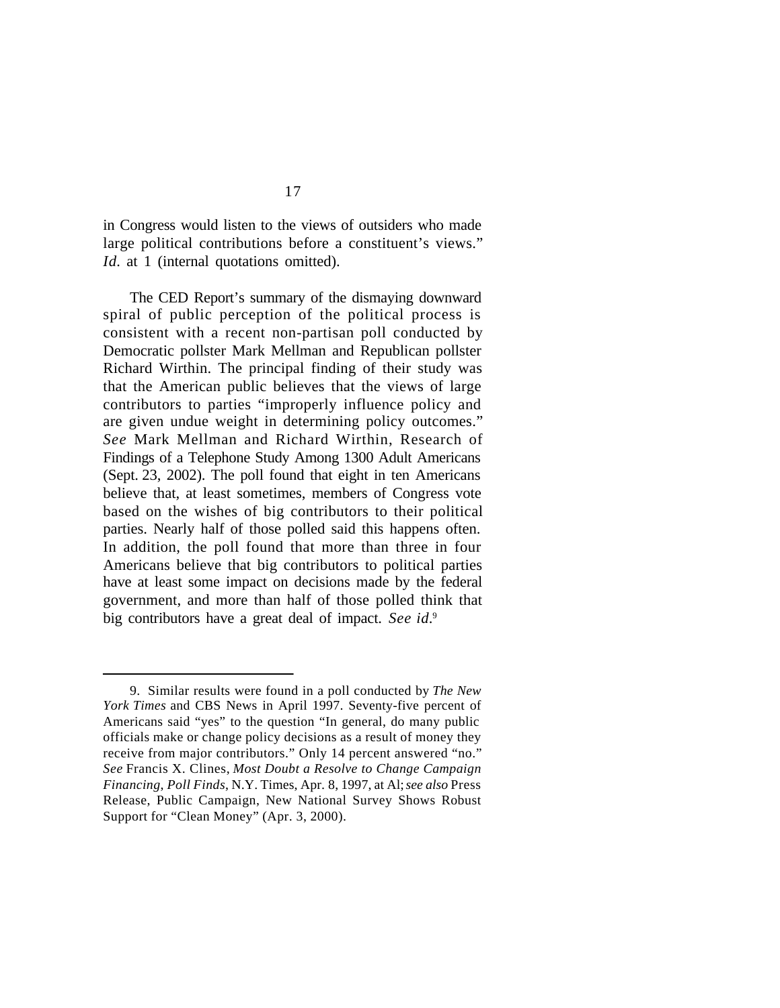in Congress would listen to the views of outsiders who made large political contributions before a constituent's views." *Id.* at 1 (internal quotations omitted).

The CED Report's summary of the dismaying downward spiral of public perception of the political process is consistent with a recent non-partisan poll conducted by Democratic pollster Mark Mellman and Republican pollster Richard Wirthin. The principal finding of their study was that the American public believes that the views of large contributors to parties "improperly influence policy and are given undue weight in determining policy outcomes." *See* Mark Mellman and Richard Wirthin, Research of Findings of a Telephone Study Among 1300 Adult Americans (Sept. 23, 2002). The poll found that eight in ten Americans believe that, at least sometimes, members of Congress vote based on the wishes of big contributors to their political parties. Nearly half of those polled said this happens often. In addition, the poll found that more than three in four Americans believe that big contributors to political parties have at least some impact on decisions made by the federal government, and more than half of those polled think that big contributors have a great deal of impact. *See id.*<sup>9</sup>

<sup>9.</sup> Similar results were found in a poll conducted by *The New York Times* and CBS News in April 1997. Seventy-five percent of Americans said "yes" to the question "In general, do many public officials make or change policy decisions as a result of money they receive from major contributors." Only 14 percent answered "no." *See* Francis X. Clines, *Most Doubt a Resolve to Change Campaign Financing*, *Poll Finds*, N.Y. Times, Apr. 8, 1997, at Al; *see also* Press Release, Public Campaign, New National Survey Shows Robust Support for "Clean Money" (Apr. 3, 2000).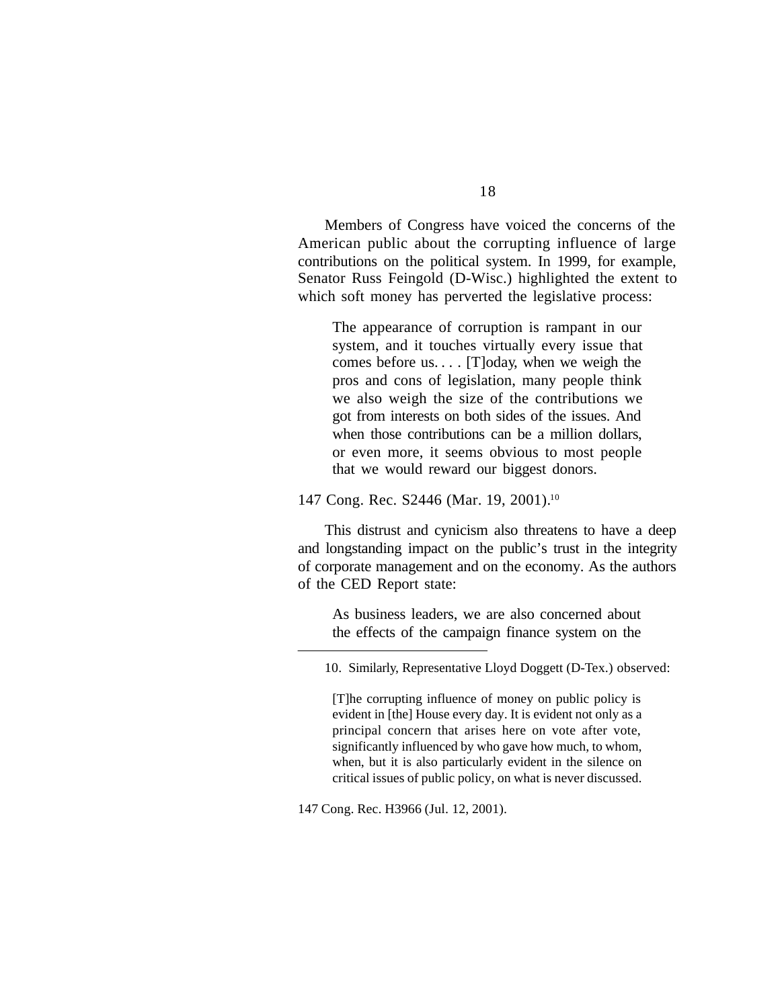Members of Congress have voiced the concerns of the American public about the corrupting influence of large contributions on the political system. In 1999, for example, Senator Russ Feingold (D-Wisc.) highlighted the extent to which soft money has perverted the legislative process:

The appearance of corruption is rampant in our system, and it touches virtually every issue that comes before us....  $[T]$ oday, when we weigh the pros and cons of legislation, many people think we also weigh the size of the contributions we got from interests on both sides of the issues. And when those contributions can be a million dollars, or even more, it seems obvious to most people that we would reward our biggest donors.

147 Cong. Rec. S2446 (Mar. 19, 2001).10

This distrust and cynicism also threatens to have a deep and longstanding impact on the public's trust in the integrity of corporate management and on the economy. As the authors of the CED Report state:

As business leaders, we are also concerned about the effects of the campaign finance system on the

[T]he corrupting influence of money on public policy is evident in [the] House every day. It is evident not only as a principal concern that arises here on vote after vote, significantly influenced by who gave how much, to whom, when, but it is also particularly evident in the silence on critical issues of public policy, on what is never discussed.

147 Cong. Rec. H3966 (Jul. 12, 2001).

<sup>10.</sup> Similarly, Representative Lloyd Doggett (D-Tex.) observed: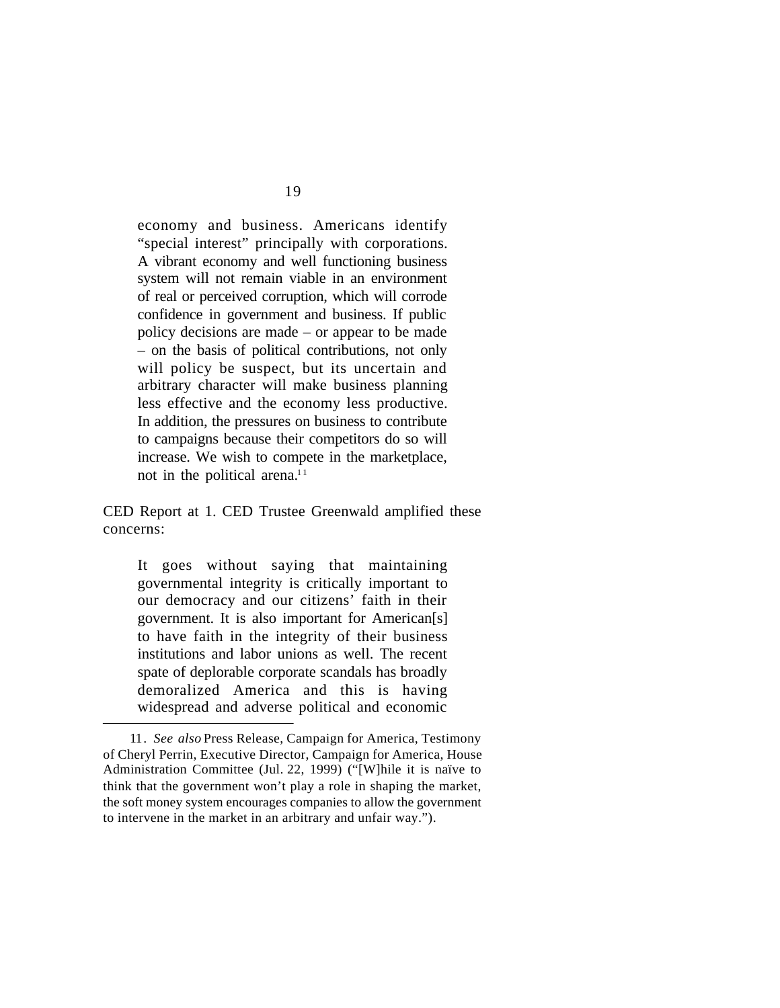economy and business. Americans identify "special interest" principally with corporations. A vibrant economy and well functioning business system will not remain viable in an environment of real or perceived corruption, which will corrode confidence in government and business. If public policy decisions are made – or appear to be made – on the basis of political contributions, not only will policy be suspect, but its uncertain and arbitrary character will make business planning less effective and the economy less productive. In addition, the pressures on business to contribute to campaigns because their competitors do so will increase. We wish to compete in the marketplace, not in the political arena.<sup>11</sup>

CED Report at 1. CED Trustee Greenwald amplified these concerns:

It goes without saying that maintaining governmental integrity is critically important to our democracy and our citizens' faith in their government. It is also important for American[s] to have faith in the integrity of their business institutions and labor unions as well. The recent spate of deplorable corporate scandals has broadly demoralized America and this is having widespread and adverse political and economic

<sup>11.</sup> *See also* Press Release, Campaign for America, Testimony of Cheryl Perrin, Executive Director, Campaign for America, House Administration Committee (Jul. 22, 1999) ("[W]hile it is naïve to think that the government won't play a role in shaping the market, the soft money system encourages companies to allow the government to intervene in the market in an arbitrary and unfair way.").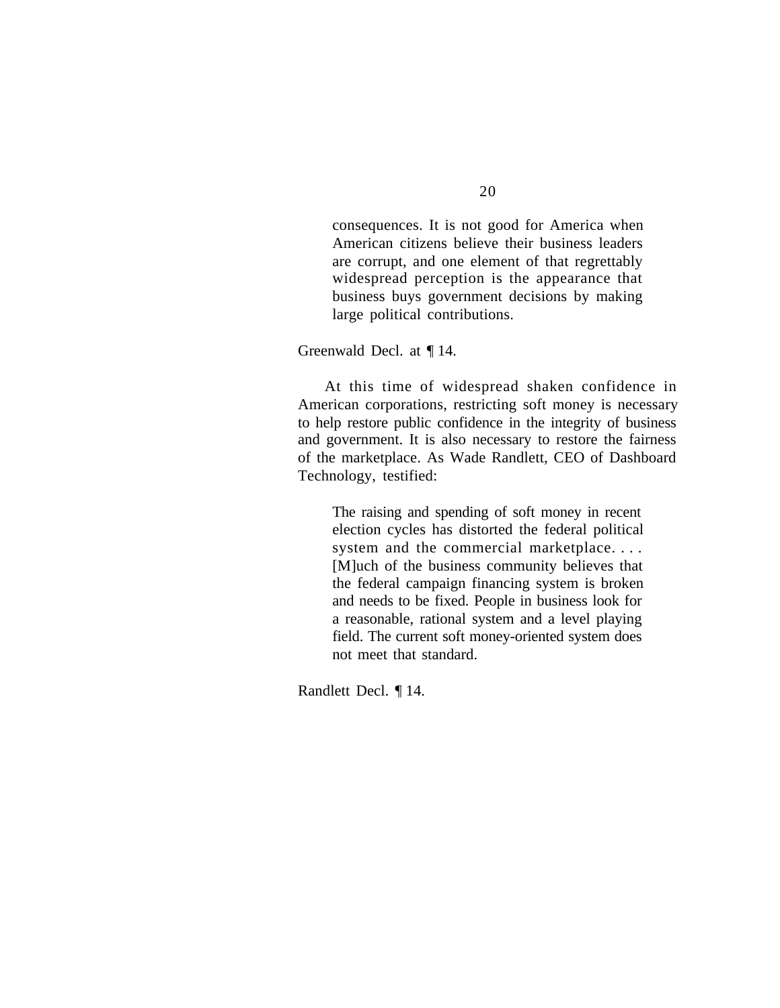consequences. It is not good for America when American citizens believe their business leaders are corrupt, and one element of that regrettably widespread perception is the appearance that business buys government decisions by making large political contributions.

Greenwald Decl. at ¶ 14.

At this time of widespread shaken confidence in American corporations, restricting soft money is necessary to help restore public confidence in the integrity of business and government. It is also necessary to restore the fairness of the marketplace. As Wade Randlett, CEO of Dashboard Technology, testified:

The raising and spending of soft money in recent election cycles has distorted the federal political system and the commercial marketplace. . . . [M]uch of the business community believes that the federal campaign financing system is broken and needs to be fixed. People in business look for a reasonable, rational system and a level playing field. The current soft money-oriented system does not meet that standard.

Randlett Decl. ¶ 14.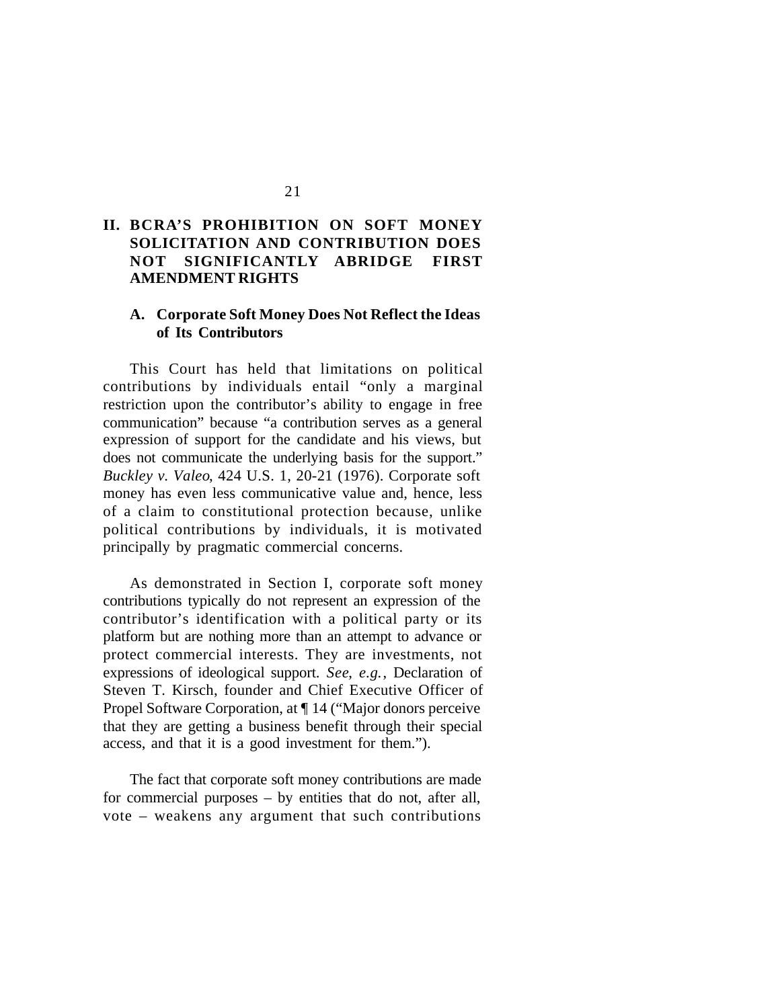## **II. BCRA'S PROHIBITION ON SOFT MONEY SOLICITATION AND CONTRIBUTION DOES NOT SIGNIFICANTLY ABRIDGE FIRST AMENDMENT RIGHTS**

#### **A. Corporate Soft Money Does Not Reflect the Ideas of Its Contributors**

This Court has held that limitations on political contributions by individuals entail "only a marginal restriction upon the contributor's ability to engage in free communication" because "a contribution serves as a general expression of support for the candidate and his views, but does not communicate the underlying basis for the support." *Buckley v. Valeo*, 424 U.S. 1, 20-21 (1976). Corporate soft money has even less communicative value and, hence, less of a claim to constitutional protection because, unlike political contributions by individuals, it is motivated principally by pragmatic commercial concerns.

As demonstrated in Section I, corporate soft money contributions typically do not represent an expression of the contributor's identification with a political party or its platform but are nothing more than an attempt to advance or protect commercial interests. They are investments, not expressions of ideological support. *See*, *e.g.*, Declaration of Steven T. Kirsch, founder and Chief Executive Officer of Propel Software Corporation, at ¶ 14 ("Major donors perceive that they are getting a business benefit through their special access, and that it is a good investment for them.").

The fact that corporate soft money contributions are made for commercial purposes – by entities that do not, after all, vote – weakens any argument that such contributions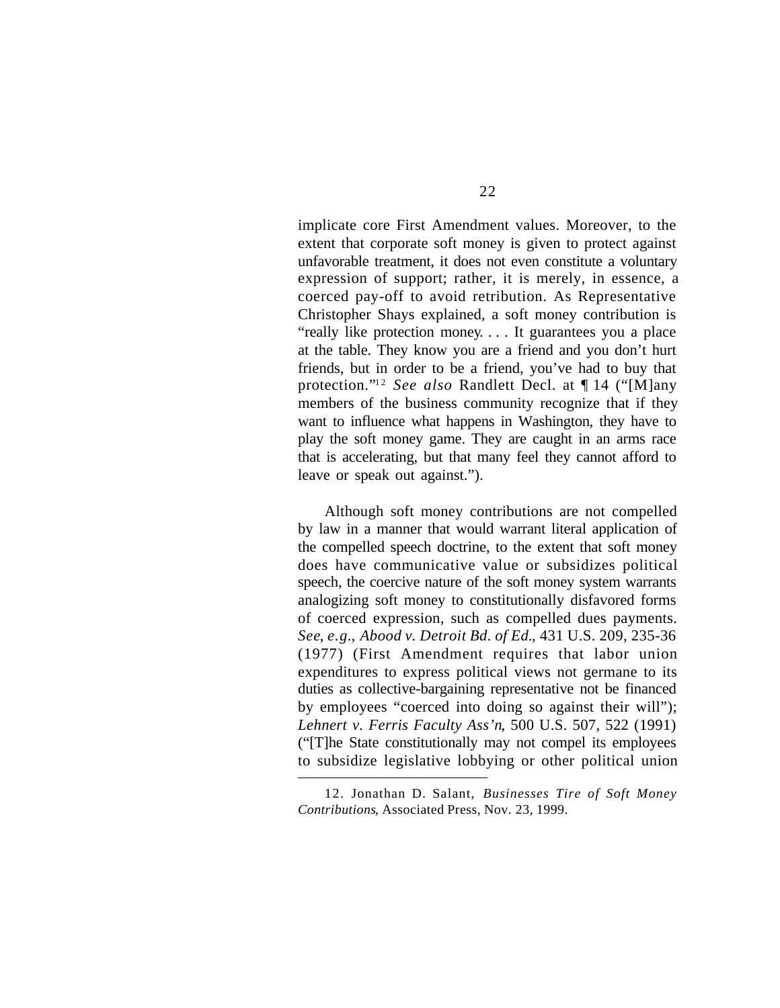implicate core First Amendment values. Moreover, to the extent that corporate soft money is given to protect against unfavorable treatment, it does not even constitute a voluntary expression of support; rather, it is merely, in essence, a coerced pay-off to avoid retribution. As Representative Christopher Shays explained, a soft money contribution is "really like protection money. . . . It guarantees you a place at the table. They know you are a friend and you don't hurt friends, but in order to be a friend, you've had to buy that protection."12 *See also* Randlett Decl. at ¶ 14 ("[M]any members of the business community recognize that if they want to influence what happens in Washington, they have to play the soft money game. They are caught in an arms race that is accelerating, but that many feel they cannot afford to leave or speak out against.").

Although soft money contributions are not compelled by law in a manner that would warrant literal application of the compelled speech doctrine, to the extent that soft money does have communicative value or subsidizes political speech, the coercive nature of the soft money system warrants analogizing soft money to constitutionally disfavored forms of coerced expression, such as compelled dues payments. *See*, *e.g.*, *Abood v. Detroit Bd. of Ed.*, 431 U.S. 209, 235-36 (1977) (First Amendment requires that labor union expenditures to express political views not germane to its duties as collective-bargaining representative not be financed by employees "coerced into doing so against their will"); *Lehnert v. Ferris Faculty Ass'n*, 500 U.S. 507, 522 (1991) ("[T]he State constitutionally may not compel its employees to subsidize legislative lobbying or other political union

<sup>12.</sup> Jonathan D. Salant, *Businesses Tire of Soft Money Contributions*, Associated Press, Nov. 23, 1999.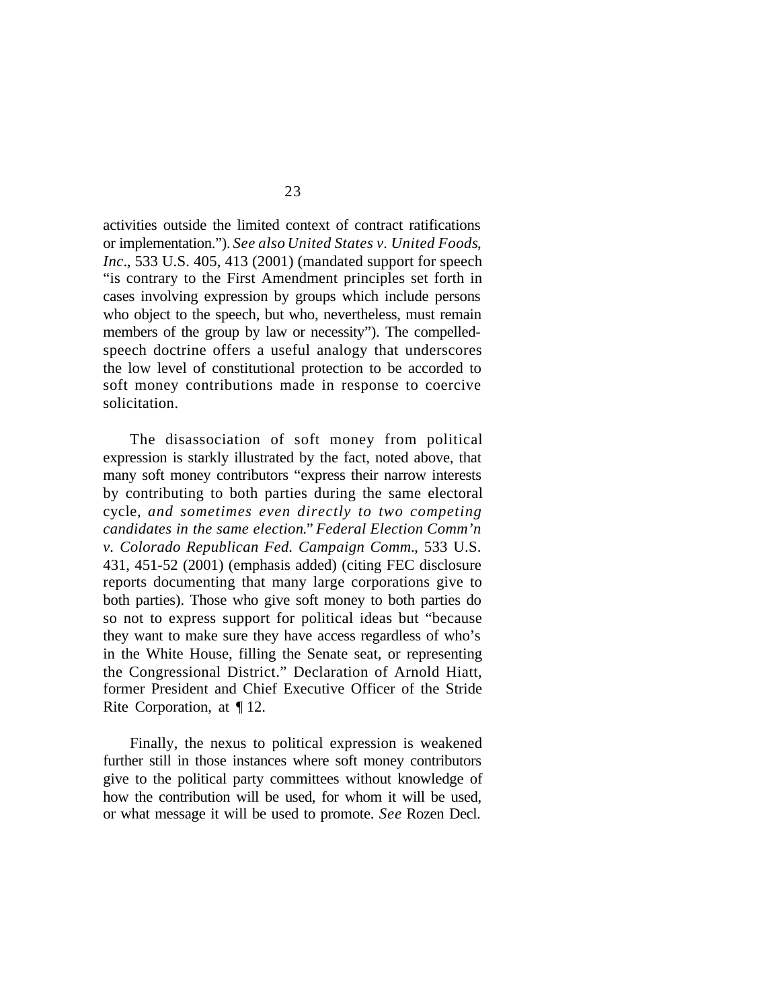activities outside the limited context of contract ratifications or implementation."). *See also United States v. United Foods*, *Inc.*, 533 U.S. 405, 413 (2001) (mandated support for speech "is contrary to the First Amendment principles set forth in cases involving expression by groups which include persons who object to the speech, but who, nevertheless, must remain members of the group by law or necessity"). The compelledspeech doctrine offers a useful analogy that underscores the low level of constitutional protection to be accorded to soft money contributions made in response to coercive solicitation.

The disassociation of soft money from political expression is starkly illustrated by the fact, noted above, that many soft money contributors "express their narrow interests by contributing to both parties during the same electoral cycle, *and sometimes even directly to two competing candidates in the same election*." *Federal Election Comm'n v. Colorado Republican Fed. Campaign Comm.*, 533 U.S. 431, 451-52 (2001) (emphasis added) (citing FEC disclosure reports documenting that many large corporations give to both parties). Those who give soft money to both parties do so not to express support for political ideas but "because they want to make sure they have access regardless of who's in the White House, filling the Senate seat, or representing the Congressional District." Declaration of Arnold Hiatt, former President and Chief Executive Officer of the Stride Rite Corporation, at  $\P$  12.

Finally, the nexus to political expression is weakened further still in those instances where soft money contributors give to the political party committees without knowledge of how the contribution will be used, for whom it will be used, or what message it will be used to promote. *See* Rozen Decl.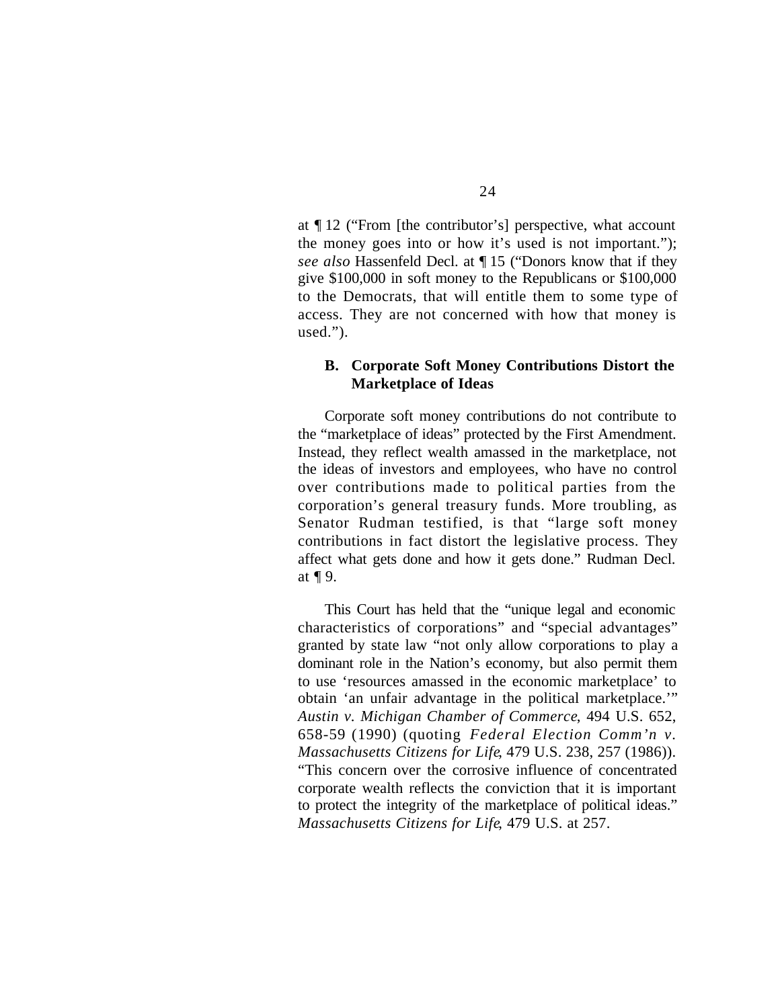at ¶ 12 ("From [the contributor's] perspective, what account the money goes into or how it's used is not important."); *see also* Hassenfeld Decl. at ¶ 15 ("Donors know that if they give \$100,000 in soft money to the Republicans or \$100,000 to the Democrats, that will entitle them to some type of access. They are not concerned with how that money is used.").

#### **B. Corporate Soft Money Contributions Distort the Marketplace of Ideas**

Corporate soft money contributions do not contribute to the "marketplace of ideas" protected by the First Amendment. Instead, they reflect wealth amassed in the marketplace, not the ideas of investors and employees, who have no control over contributions made to political parties from the corporation's general treasury funds. More troubling, as Senator Rudman testified, is that "large soft money contributions in fact distort the legislative process. They affect what gets done and how it gets done." Rudman Decl. at ¶ 9.

This Court has held that the "unique legal and economic characteristics of corporations" and "special advantages" granted by state law "not only allow corporations to play a dominant role in the Nation's economy, but also permit them to use 'resources amassed in the economic marketplace' to obtain 'an unfair advantage in the political marketplace.'" *Austin v. Michigan Chamber of Commerce*, 494 U.S. 652, 658-59 (1990) (quoting *Federal Election Comm'n v. Massachusetts Citizens for Life*, 479 U.S. 238, 257 (1986)). "This concern over the corrosive influence of concentrated corporate wealth reflects the conviction that it is important to protect the integrity of the marketplace of political ideas." *Massachusetts Citizens for Life*, 479 U.S. at 257.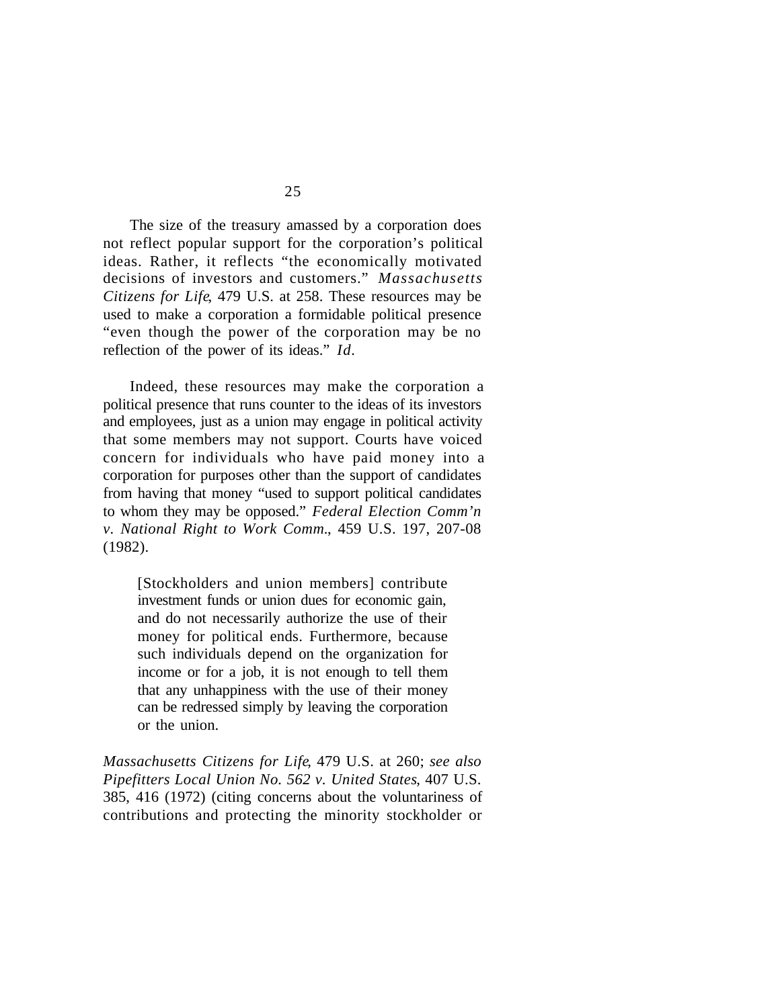The size of the treasury amassed by a corporation does not reflect popular support for the corporation's political ideas. Rather, it reflects "the economically motivated decisions of investors and customers." *Massachusetts Citizens for Life*, 479 U.S. at 258. These resources may be used to make a corporation a formidable political presence "even though the power of the corporation may be no reflection of the power of its ideas." *Id.* 

Indeed, these resources may make the corporation a political presence that runs counter to the ideas of its investors and employees, just as a union may engage in political activity that some members may not support. Courts have voiced concern for individuals who have paid money into a corporation for purposes other than the support of candidates from having that money "used to support political candidates to whom they may be opposed." *Federal Election Comm'n v. National Right to Work Comm.*, 459 U.S. 197, 207-08 (1982).

[Stockholders and union members] contribute investment funds or union dues for economic gain, and do not necessarily authorize the use of their money for political ends. Furthermore, because such individuals depend on the organization for income or for a job, it is not enough to tell them that any unhappiness with the use of their money can be redressed simply by leaving the corporation or the union.

*Massachusetts Citizens for Life*, 479 U.S. at 260; *see also Pipefitters Local Union No. 562 v. United States*, 407 U.S. 385, 416 (1972) (citing concerns about the voluntariness of contributions and protecting the minority stockholder or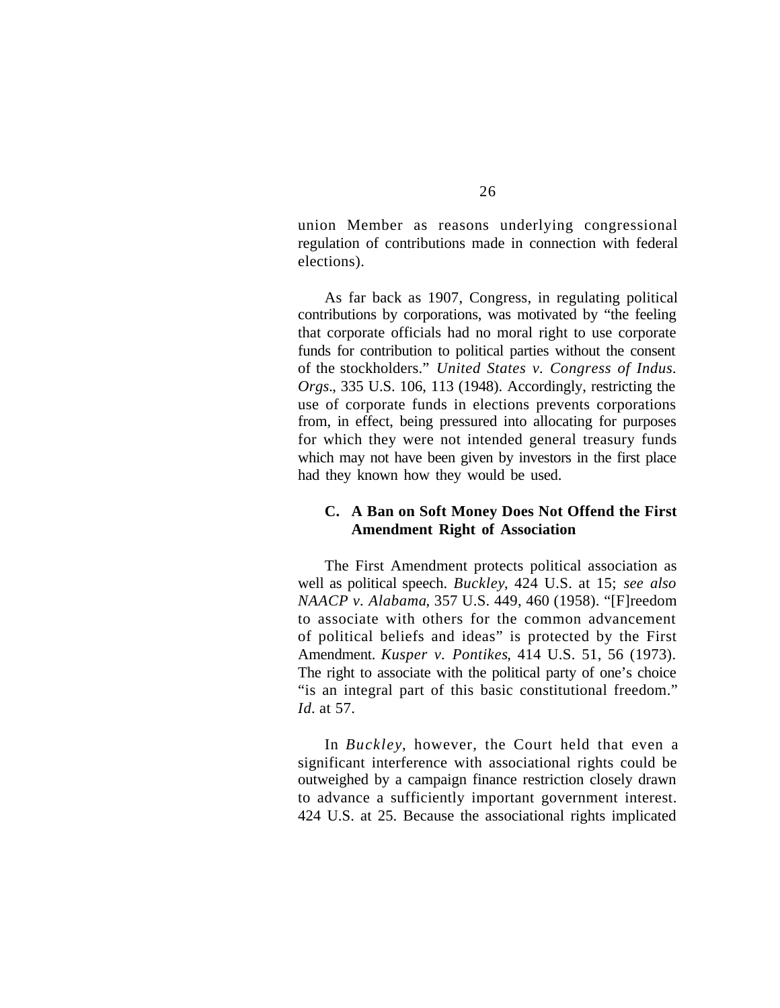union Member as reasons underlying congressional regulation of contributions made in connection with federal elections).

As far back as 1907, Congress, in regulating political contributions by corporations, was motivated by "the feeling that corporate officials had no moral right to use corporate funds for contribution to political parties without the consent of the stockholders." *United States v. Congress of Indus. Orgs.*, 335 U.S. 106, 113 (1948). Accordingly, restricting the use of corporate funds in elections prevents corporations from, in effect, being pressured into allocating for purposes for which they were not intended general treasury funds which may not have been given by investors in the first place had they known how they would be used.

#### **C. A Ban on Soft Money Does Not Offend the First Amendment Right of Association**

The First Amendment protects political association as well as political speech. *Buckley*, 424 U.S. at 15; *see also NAACP v. Alabama*, 357 U.S. 449, 460 (1958). "[F]reedom to associate with others for the common advancement of political beliefs and ideas" is protected by the First Amendment. *Kusper v. Pontikes*, 414 U.S. 51, 56 (1973). The right to associate with the political party of one's choice "is an integral part of this basic constitutional freedom." *Id.* at 57.

In *Buckley*, however, the Court held that even a significant interference with associational rights could be outweighed by a campaign finance restriction closely drawn to advance a sufficiently important government interest. 424 U.S. at 25. Because the associational rights implicated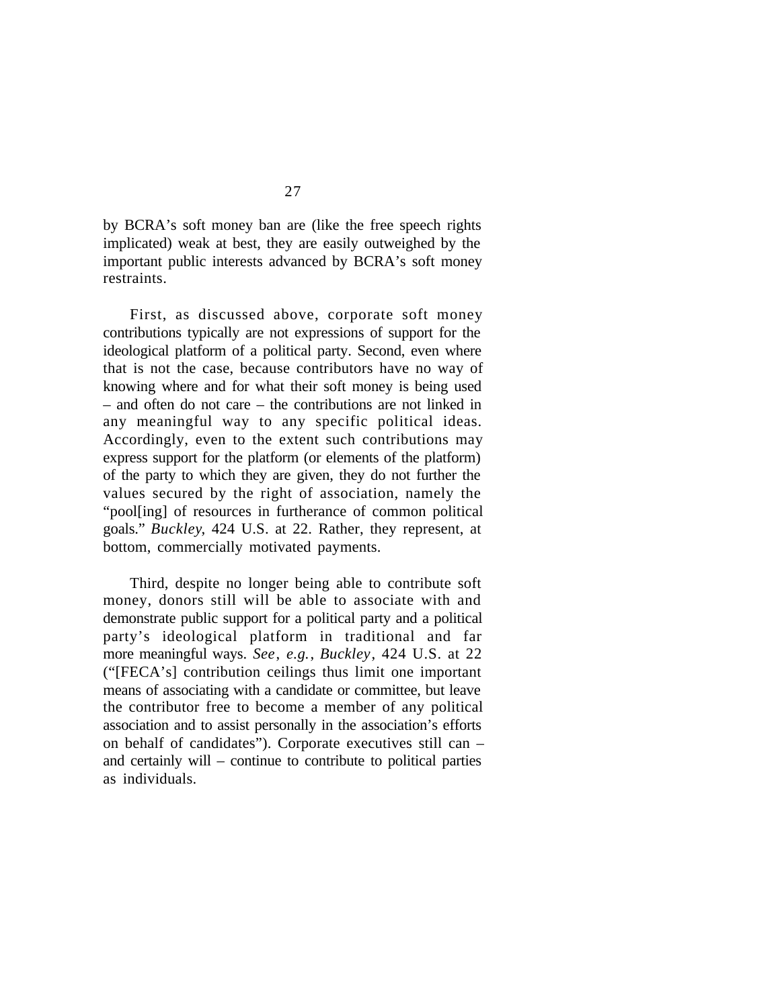by BCRA's soft money ban are (like the free speech rights implicated) weak at best, they are easily outweighed by the important public interests advanced by BCRA's soft money restraints.

First, as discussed above, corporate soft money contributions typically are not expressions of support for the ideological platform of a political party. Second, even where that is not the case, because contributors have no way of knowing where and for what their soft money is being used – and often do not care – the contributions are not linked in any meaningful way to any specific political ideas. Accordingly, even to the extent such contributions may express support for the platform (or elements of the platform) of the party to which they are given, they do not further the values secured by the right of association, namely the "pool[ing] of resources in furtherance of common political goals." *Buckley*, 424 U.S. at 22. Rather, they represent, at bottom, commercially motivated payments.

Third, despite no longer being able to contribute soft money, donors still will be able to associate with and demonstrate public support for a political party and a political party's ideological platform in traditional and far more meaningful ways. *See*, *e.g.*, *Buckley*, 424 U.S. at 22 ("[FECA's] contribution ceilings thus limit one important means of associating with a candidate or committee, but leave the contributor free to become a member of any political association and to assist personally in the association's efforts on behalf of candidates"). Corporate executives still can – and certainly will – continue to contribute to political parties as individuals.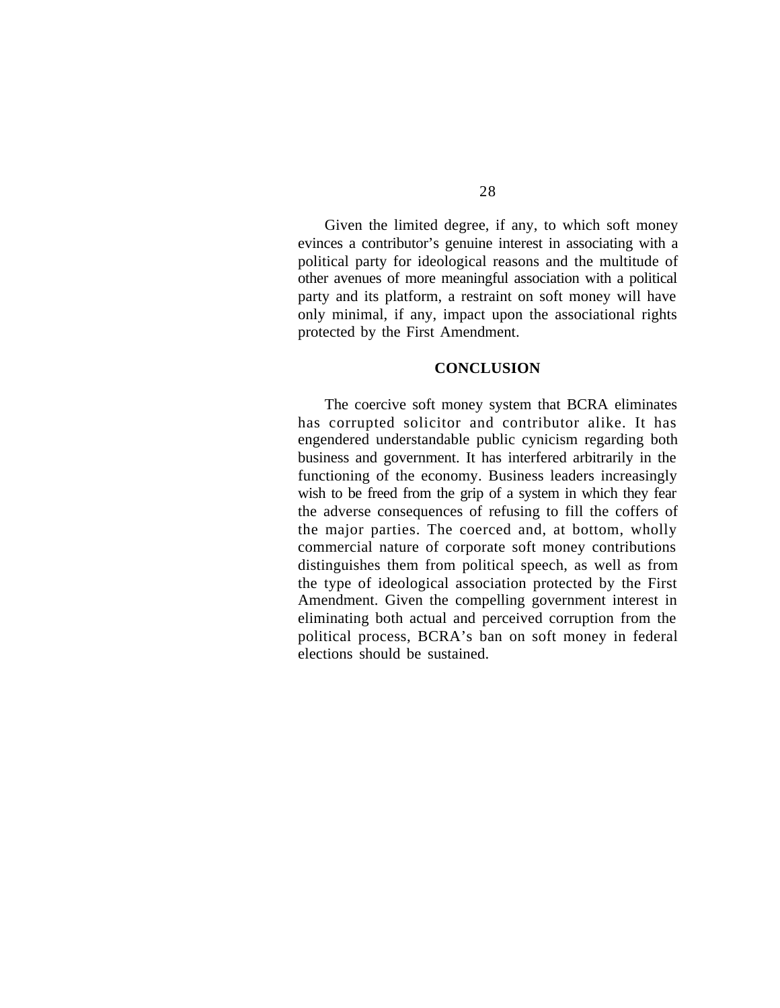Given the limited degree, if any, to which soft money evinces a contributor's genuine interest in associating with a political party for ideological reasons and the multitude of other avenues of more meaningful association with a political party and its platform, a restraint on soft money will have only minimal, if any, impact upon the associational rights protected by the First Amendment.

#### **CONCLUSION**

The coercive soft money system that BCRA eliminates has corrupted solicitor and contributor alike. It has engendered understandable public cynicism regarding both business and government. It has interfered arbitrarily in the functioning of the economy. Business leaders increasingly wish to be freed from the grip of a system in which they fear the adverse consequences of refusing to fill the coffers of the major parties. The coerced and, at bottom, wholly commercial nature of corporate soft money contributions distinguishes them from political speech, as well as from the type of ideological association protected by the First Amendment. Given the compelling government interest in eliminating both actual and perceived corruption from the political process, BCRA's ban on soft money in federal elections should be sustained.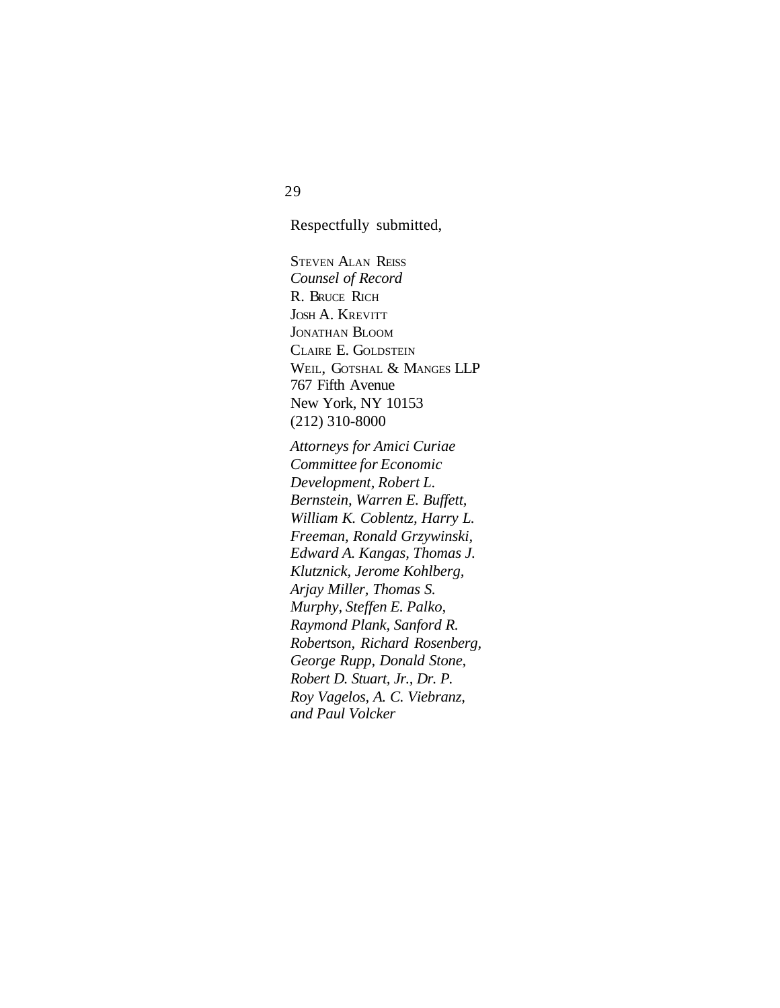Respectfully submitted,

STEVEN ALAN REISS *Counsel of Record*  R. BRUCE RICH JOSH A. KREVITT JONATHAN BLOOM CLAIRE E. GOLDSTEIN WEIL, GOTSHAL & MANGES LLP 767 Fifth Avenue New York, NY 10153 (212) 310-8000

*Attorneys for Amici Curiae Committee for Economic Development, Robert L. Bernstein, Warren E. Buffett, William K. Coblentz, Harry L. Freeman, Ronald Grzywinski, Edward A. Kangas, Thomas J. Klutznick, Jerome Kohlberg, Arjay Miller, Thomas S. Murphy, Steffen E. Palko, Raymond Plank, Sanford R. Robertson, Richard Rosenberg, George Rupp, Donald Stone, Robert D. Stuart, Jr., Dr. P. Roy Vagelos, A. C. Viebranz, and Paul Volcker* 

29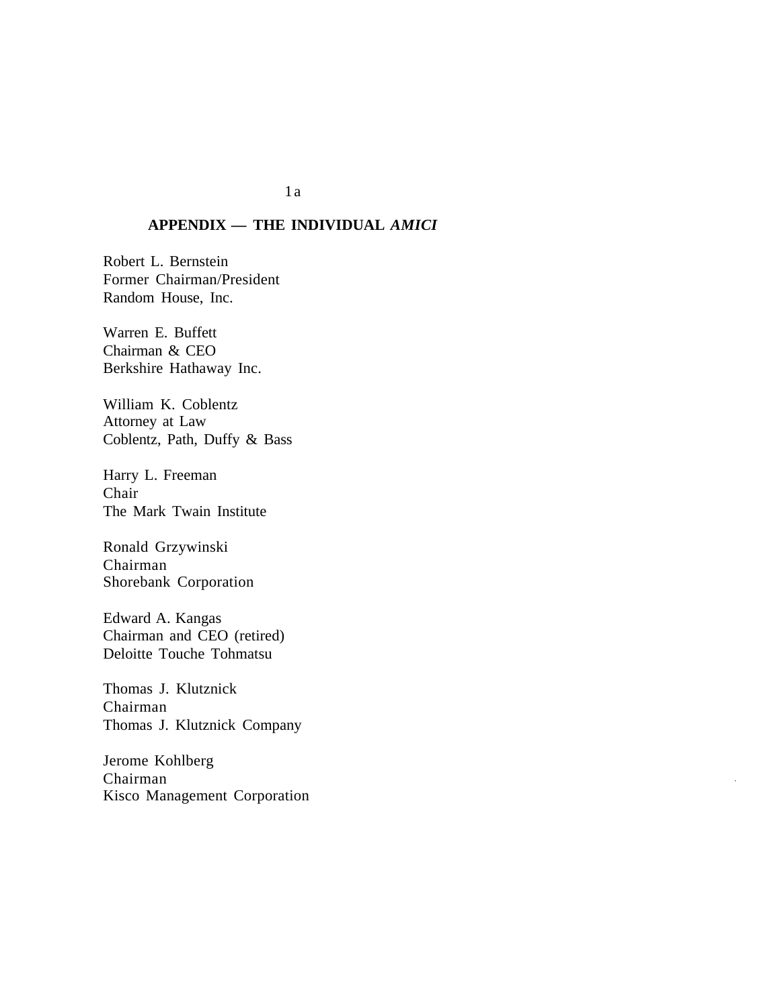#### 1a

## **APPENDIX — THE INDIVIDUAL** *AMICI*

Robert L. Bernstein Former Chairman/President Random House, Inc.

Warren E. Buffett Chairman & CEO Berkshire Hathaway Inc.

William K. Coblentz Attorney at Law Coblentz, Path, Duffy & Bass

Harry L. Freeman Chair The Mark Twain Institute

Ronald Grzywinski Chairman Shorebank Corporation

Edward A. Kangas Chairman and CEO (retired) Deloitte Touche Tohmatsu

Thomas J. Klutznick Chairman Thomas J. Klutznick Company

Jerome Kohlberg Chairman Kisco Management Corporation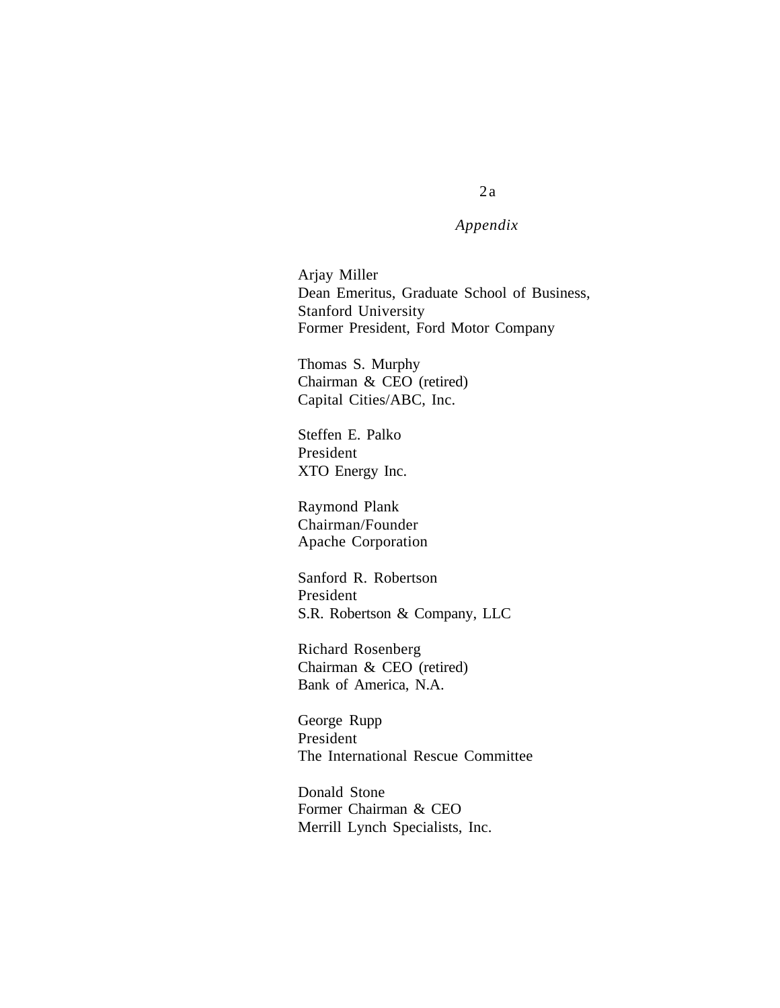#### *Appendix*

Arjay Miller Dean Emeritus, Graduate School of Business, Stanford University Former President, Ford Motor Company

Thomas S. Murphy Chairman & CEO (retired) Capital Cities/ABC, Inc.

Steffen E. Palko President XTO Energy Inc.

Raymond Plank Chairman/Founder Apache Corporation

Sanford R. Robertson President S.R. Robertson & Company, LLC

Richard Rosenberg Chairman & CEO (retired) Bank of America, N.A.

George Rupp President The International Rescue Committee

Donald Stone Former Chairman & CEO Merrill Lynch Specialists, Inc.

# $2a$